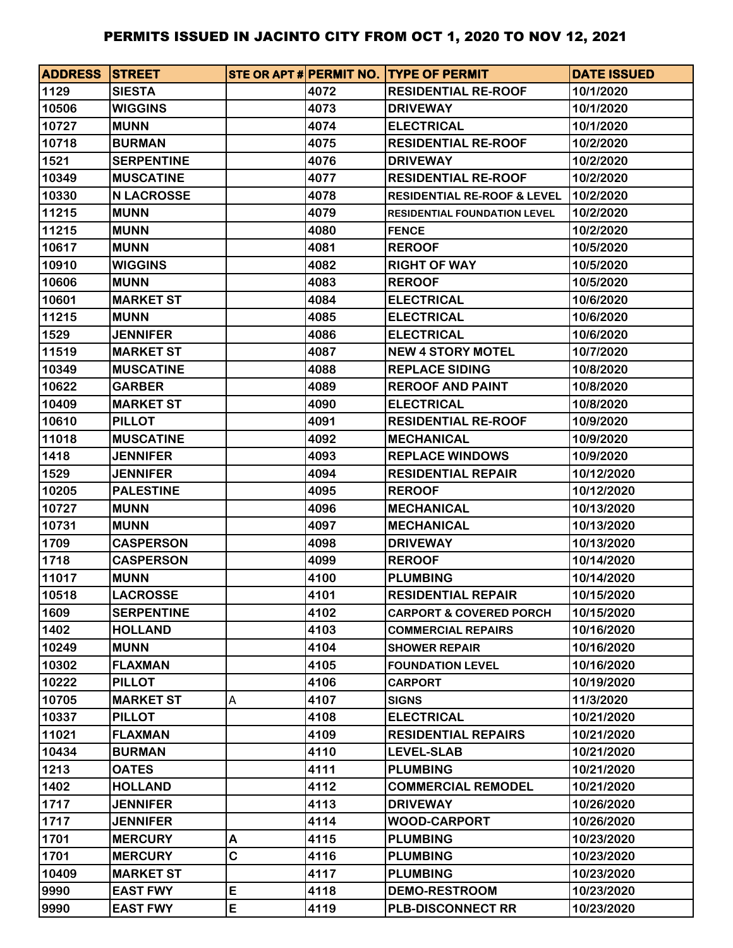| <b>ADDRESS STREET</b> |                   |   |      | STE OR APT # PERMIT NO. TYPE OF PERMIT | <b>DATE ISSUED</b> |
|-----------------------|-------------------|---|------|----------------------------------------|--------------------|
| 1129                  | <b>SIESTA</b>     |   | 4072 | <b>RESIDENTIAL RE-ROOF</b>             | 10/1/2020          |
| 10506                 | <b>WIGGINS</b>    |   | 4073 | <b>DRIVEWAY</b>                        | 10/1/2020          |
| 10727                 | <b>MUNN</b>       |   | 4074 | <b>ELECTRICAL</b>                      | 10/1/2020          |
| 10718                 | <b>BURMAN</b>     |   | 4075 | <b>RESIDENTIAL RE-ROOF</b>             | 10/2/2020          |
| 1521                  | <b>SERPENTINE</b> |   | 4076 | <b>DRIVEWAY</b>                        | 10/2/2020          |
| 10349                 | <b>MUSCATINE</b>  |   | 4077 | <b>RESIDENTIAL RE-ROOF</b>             | 10/2/2020          |
| 10330                 | <b>N LACROSSE</b> |   | 4078 | <b>RESIDENTIAL RE-ROOF &amp; LEVEL</b> | 10/2/2020          |
| 11215                 | <b>MUNN</b>       |   | 4079 | <b>RESIDENTIAL FOUNDATION LEVEL</b>    | 10/2/2020          |
| 11215                 | <b>MUNN</b>       |   | 4080 | <b>FENCE</b>                           | 10/2/2020          |
| 10617                 | <b>MUNN</b>       |   | 4081 | <b>REROOF</b>                          | 10/5/2020          |
| 10910                 | <b>WIGGINS</b>    |   | 4082 | <b>RIGHT OF WAY</b>                    | 10/5/2020          |
| 10606                 | <b>MUNN</b>       |   | 4083 | <b>REROOF</b>                          | 10/5/2020          |
| 10601                 | <b>MARKET ST</b>  |   | 4084 | <b>ELECTRICAL</b>                      | 10/6/2020          |
| 11215                 | <b>MUNN</b>       |   | 4085 | <b>ELECTRICAL</b>                      | 10/6/2020          |
| 1529                  | <b>JENNIFER</b>   |   | 4086 | <b>ELECTRICAL</b>                      | 10/6/2020          |
| 11519                 | <b>MARKET ST</b>  |   | 4087 | <b>NEW 4 STORY MOTEL</b>               | 10/7/2020          |
| 10349                 | <b>MUSCATINE</b>  |   | 4088 | <b>REPLACE SIDING</b>                  | 10/8/2020          |
| 10622                 | <b>GARBER</b>     |   | 4089 | <b>REROOF AND PAINT</b>                | 10/8/2020          |
| 10409                 | <b>MARKET ST</b>  |   | 4090 | <b>ELECTRICAL</b>                      | 10/8/2020          |
| 10610                 | <b>PILLOT</b>     |   | 4091 | <b>RESIDENTIAL RE-ROOF</b>             | 10/9/2020          |
| 11018                 | <b>MUSCATINE</b>  |   | 4092 | <b>MECHANICAL</b>                      | 10/9/2020          |
| 1418                  | <b>JENNIFER</b>   |   | 4093 | <b>REPLACE WINDOWS</b>                 | 10/9/2020          |
| 1529                  | <b>JENNIFER</b>   |   | 4094 | <b>RESIDENTIAL REPAIR</b>              | 10/12/2020         |
| 10205                 | <b>PALESTINE</b>  |   | 4095 | <b>REROOF</b>                          | 10/12/2020         |
| 10727                 | <b>MUNN</b>       |   | 4096 | <b>MECHANICAL</b>                      | 10/13/2020         |
| 10731                 | <b>MUNN</b>       |   | 4097 | <b>MECHANICAL</b>                      | 10/13/2020         |
| 1709                  | <b>CASPERSON</b>  |   | 4098 | <b>DRIVEWAY</b>                        | 10/13/2020         |
| 1718                  | <b>CASPERSON</b>  |   | 4099 | <b>REROOF</b>                          | 10/14/2020         |
| 11017                 | <b>MUNN</b>       |   | 4100 | <b>PLUMBING</b>                        | 10/14/2020         |
| 10518                 | <b>LACROSSE</b>   |   | 4101 | <b>RESIDENTIAL REPAIR</b>              | 10/15/2020         |
| 1609                  | <b>SERPENTINE</b> |   | 4102 | <b>CARPORT &amp; COVERED PORCH</b>     | 10/15/2020         |
| 1402                  | <b>HOLLAND</b>    |   | 4103 | <b>COMMERCIAL REPAIRS</b>              | 10/16/2020         |
| 10249                 | <b>MUNN</b>       |   | 4104 | <b>SHOWER REPAIR</b>                   | 10/16/2020         |
| 10302                 | <b>FLAXMAN</b>    |   | 4105 | <b>FOUNDATION LEVEL</b>                | 10/16/2020         |
| 10222                 | <b>PILLOT</b>     |   | 4106 | <b>CARPORT</b>                         | 10/19/2020         |
| 10705                 | <b>MARKET ST</b>  | Α | 4107 | <b>SIGNS</b>                           | 11/3/2020          |
| 10337                 | <b>PILLOT</b>     |   | 4108 | <b>ELECTRICAL</b>                      | 10/21/2020         |
| 11021                 | <b>FLAXMAN</b>    |   | 4109 | <b>RESIDENTIAL REPAIRS</b>             | 10/21/2020         |
| 10434                 | <b>BURMAN</b>     |   | 4110 | <b>LEVEL-SLAB</b>                      | 10/21/2020         |
| 1213                  | <b>OATES</b>      |   | 4111 | <b>PLUMBING</b>                        | 10/21/2020         |
| 1402                  | <b>HOLLAND</b>    |   | 4112 | <b>COMMERCIAL REMODEL</b>              | 10/21/2020         |
| 1717                  | <b>JENNIFER</b>   |   | 4113 | <b>DRIVEWAY</b>                        | 10/26/2020         |
| 1717                  | <b>JENNIFER</b>   |   | 4114 | <b>WOOD-CARPORT</b>                    | 10/26/2020         |
| 1701                  | <b>MERCURY</b>    | Α | 4115 | <b>PLUMBING</b>                        | 10/23/2020         |
| 1701                  | <b>MERCURY</b>    | C | 4116 | <b>PLUMBING</b>                        | 10/23/2020         |
| 10409                 | <b>MARKET ST</b>  |   | 4117 | <b>PLUMBING</b>                        | 10/23/2020         |
| 9990                  | <b>EAST FWY</b>   | E | 4118 | <b>DEMO-RESTROOM</b>                   | 10/23/2020         |
| 9990                  | <b>EAST FWY</b>   | E | 4119 | <b>PLB-DISCONNECT RR</b>               | 10/23/2020         |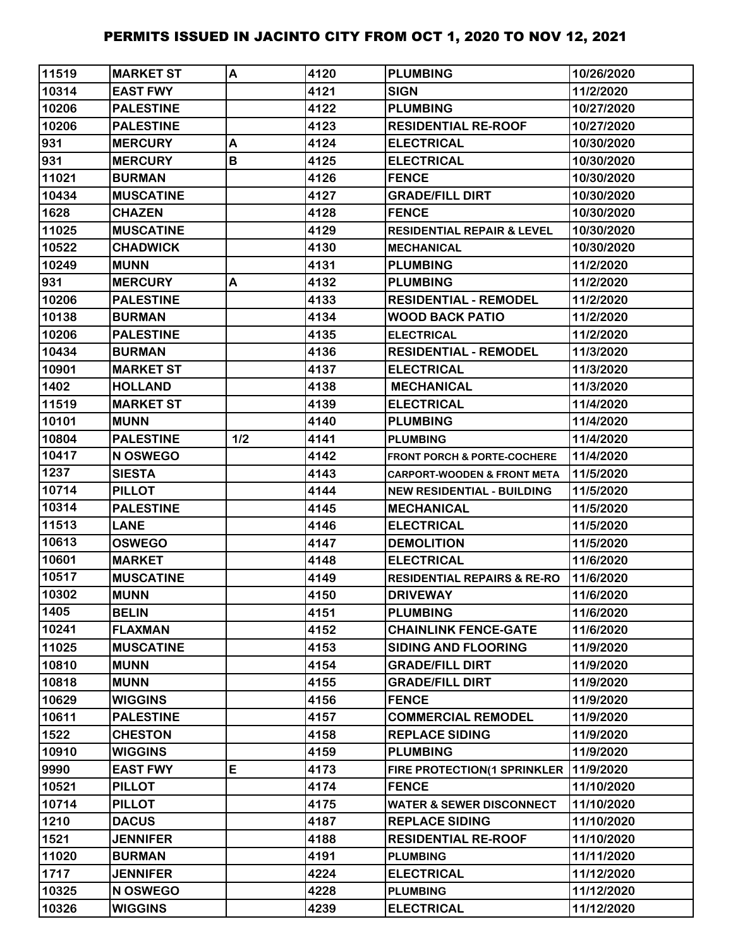| 11519          | <b>MARKET ST</b>               | A   | 4120         | <b>PLUMBING</b>                                              | 10/26/2020               |
|----------------|--------------------------------|-----|--------------|--------------------------------------------------------------|--------------------------|
| 10314          | <b>EAST FWY</b>                |     | 4121         | <b>SIGN</b>                                                  | 11/2/2020                |
| 10206          | <b>PALESTINE</b>               |     | 4122         | <b>PLUMBING</b>                                              | 10/27/2020               |
| 10206          | <b>PALESTINE</b>               |     | 4123         | <b>RESIDENTIAL RE-ROOF</b>                                   | 10/27/2020               |
| 931            | <b>MERCURY</b>                 | A   | 4124         | <b>ELECTRICAL</b>                                            | 10/30/2020               |
| 931            | <b>MERCURY</b>                 | B   | 4125         | <b>ELECTRICAL</b>                                            | 10/30/2020               |
| 11021          | <b>BURMAN</b>                  |     | 4126         | <b>FENCE</b>                                                 | 10/30/2020               |
| 10434          | <b>MUSCATINE</b>               |     | 4127         | <b>GRADE/FILL DIRT</b>                                       | 10/30/2020               |
| 1628           | <b>CHAZEN</b>                  |     | 4128         | <b>FENCE</b>                                                 | 10/30/2020               |
| 11025          | <b>MUSCATINE</b>               |     | 4129         | <b>RESIDENTIAL REPAIR &amp; LEVEL</b>                        | 10/30/2020               |
| 10522          | <b>CHADWICK</b>                |     | 4130         | <b>MECHANICAL</b>                                            | 10/30/2020               |
| 10249          | <b>MUNN</b>                    |     | 4131         | <b>PLUMBING</b>                                              | 11/2/2020                |
| 931            | <b>MERCURY</b>                 | A   | 4132         | <b>PLUMBING</b>                                              | 11/2/2020                |
| 10206          | <b>PALESTINE</b>               |     | 4133         | <b>RESIDENTIAL - REMODEL</b>                                 | 11/2/2020                |
| 10138          | <b>BURMAN</b>                  |     | 4134         | <b>WOOD BACK PATIO</b>                                       | 11/2/2020                |
| 10206          | <b>PALESTINE</b>               |     | 4135         | <b>ELECTRICAL</b>                                            | 11/2/2020                |
| 10434          | <b>BURMAN</b>                  |     | 4136         | <b>RESIDENTIAL - REMODEL</b>                                 | 11/3/2020                |
| 10901          | <b>MARKET ST</b>               |     | 4137         | <b>ELECTRICAL</b>                                            | 11/3/2020                |
| 1402           | <b>HOLLAND</b>                 |     | 4138         | <b>MECHANICAL</b>                                            | 11/3/2020                |
| 11519          | <b>MARKET ST</b>               |     | 4139         | <b>ELECTRICAL</b>                                            | 11/4/2020                |
| 10101          | <b>MUNN</b>                    |     | 4140         | <b>PLUMBING</b>                                              | 11/4/2020                |
| 10804          | <b>PALESTINE</b>               | 1/2 | 4141         | <b>PLUMBING</b>                                              | 11/4/2020                |
| 10417          | <b>N OSWEGO</b>                |     | 4142         | <b>FRONT PORCH &amp; PORTE-COCHERE</b>                       | 11/4/2020                |
| 1237           | <b>SIESTA</b>                  |     | 4143         | CARPORT-WOODEN & FRONT META                                  | 11/5/2020                |
| 10714          | <b>PILLOT</b>                  |     | 4144         | <b>NEW RESIDENTIAL - BUILDING</b>                            | 11/5/2020                |
| 10314          | <b>PALESTINE</b>               |     | 4145         | <b>MECHANICAL</b>                                            | 11/5/2020                |
| 11513          | <b>LANE</b>                    |     | 4146         | <b>ELECTRICAL</b>                                            | 11/5/2020                |
| 10613          | <b>OSWEGO</b>                  |     | 4147         | <b>DEMOLITION</b>                                            | 11/5/2020                |
| 10601          | <b>MARKET</b>                  |     | 4148         | <b>ELECTRICAL</b>                                            | 11/6/2020                |
| 10517          | <b>MUSCATINE</b>               |     | 4149         | <b>RESIDENTIAL REPAIRS &amp; RE-RO</b>                       | 11/6/2020                |
| 10302          | <b>MUNN</b>                    |     | 4150         | <b>DRIVEWAY</b>                                              | 11/6/2020                |
| 1405           | <b>BELIN</b>                   |     | 4151         | <b>PLUMBING</b>                                              | 11/6/2020                |
| 10241          | <b>FLAXMAN</b>                 |     | 4152         | <b>CHAINLINK FENCE-GATE</b>                                  | 11/6/2020                |
| 11025          | <b>MUSCATINE</b>               |     | 4153         | <b>SIDING AND FLOORING</b>                                   | 11/9/2020                |
| 10810          | <b>MUNN</b>                    |     | 4154         | <b>GRADE/FILL DIRT</b>                                       | 11/9/2020                |
| 10818          | <b>MUNN</b>                    |     | 4155         | <b>GRADE/FILL DIRT</b>                                       | 11/9/2020                |
| 10629          | <b>WIGGINS</b>                 |     | 4156         | <b>FENCE</b>                                                 | 11/9/2020                |
| 10611          | <b>PALESTINE</b>               |     | 4157         | <b>COMMERCIAL REMODEL</b>                                    | 11/9/2020                |
| 1522           | <b>CHESTON</b>                 |     | 4158         | <b>REPLACE SIDING</b>                                        | 11/9/2020                |
| 10910<br>9990  | <b>WIGGINS</b>                 | E   | 4159<br>4173 | <b>PLUMBING</b>                                              | 11/9/2020                |
|                | <b>EAST FWY</b>                |     | 4174         | FIRE PROTECTION(1 SPRINKLER                                  | 11/9/2020                |
| 10521<br>10714 | <b>PILLOT</b><br><b>PILLOT</b> |     | 4175         | <b>FENCE</b>                                                 | 11/10/2020<br>11/10/2020 |
| 1210           | <b>DACUS</b>                   |     | 4187         | <b>WATER &amp; SEWER DISCONNECT</b><br><b>REPLACE SIDING</b> | 11/10/2020               |
| 1521           | <b>JENNIFER</b>                |     | 4188         | <b>RESIDENTIAL RE-ROOF</b>                                   | 11/10/2020               |
| 11020          | <b>BURMAN</b>                  |     | 4191         | <b>PLUMBING</b>                                              | 11/11/2020               |
| 1717           | <b>JENNIFER</b>                |     | 4224         | <b>ELECTRICAL</b>                                            | 11/12/2020               |
| 10325          | N OSWEGO                       |     | 4228         | <b>PLUMBING</b>                                              | 11/12/2020               |
| 10326          | <b>WIGGINS</b>                 |     | 4239         | <b>ELECTRICAL</b>                                            | 11/12/2020               |
|                |                                |     |              |                                                              |                          |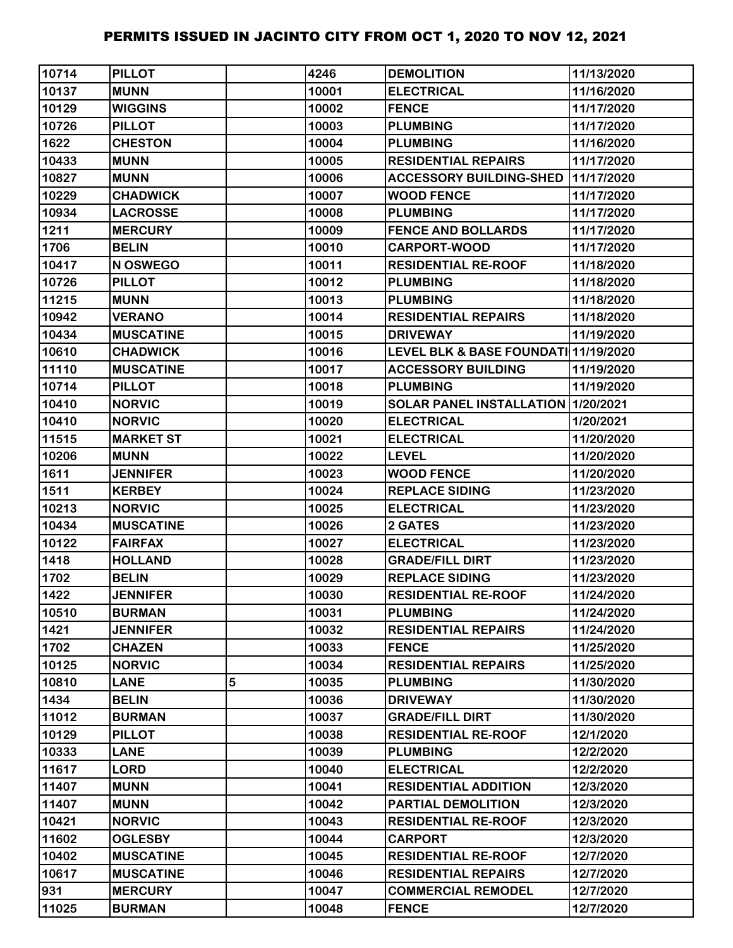| 10714 | <b>PILLOT</b>    |   | 4246  | <b>DEMOLITION</b>                    | 11/13/2020 |
|-------|------------------|---|-------|--------------------------------------|------------|
| 10137 | <b>MUNN</b>      |   | 10001 | <b>ELECTRICAL</b>                    | 11/16/2020 |
| 10129 | <b>WIGGINS</b>   |   | 10002 | <b>FENCE</b>                         | 11/17/2020 |
| 10726 | <b>PILLOT</b>    |   | 10003 | <b>PLUMBING</b>                      | 11/17/2020 |
| 1622  | <b>CHESTON</b>   |   | 10004 | <b>PLUMBING</b>                      | 11/16/2020 |
| 10433 | <b>MUNN</b>      |   | 10005 | <b>RESIDENTIAL REPAIRS</b>           | 11/17/2020 |
| 10827 | <b>MUNN</b>      |   | 10006 | <b>ACCESSORY BUILDING-SHED</b>       | 11/17/2020 |
| 10229 | <b>CHADWICK</b>  |   | 10007 | <b>WOOD FENCE</b>                    | 11/17/2020 |
| 10934 | <b>LACROSSE</b>  |   | 10008 | <b>PLUMBING</b>                      | 11/17/2020 |
| 1211  | <b>MERCURY</b>   |   | 10009 | <b>FENCE AND BOLLARDS</b>            | 11/17/2020 |
| 1706  | <b>BELIN</b>     |   | 10010 | <b>CARPORT-WOOD</b>                  | 11/17/2020 |
| 10417 | N OSWEGO         |   | 10011 | <b>RESIDENTIAL RE-ROOF</b>           | 11/18/2020 |
| 10726 | <b>PILLOT</b>    |   | 10012 | <b>PLUMBING</b>                      | 11/18/2020 |
| 11215 | <b>MUNN</b>      |   | 10013 | <b>PLUMBING</b>                      | 11/18/2020 |
| 10942 | <b>VERANO</b>    |   | 10014 | <b>RESIDENTIAL REPAIRS</b>           | 11/18/2020 |
| 10434 | <b>MUSCATINE</b> |   | 10015 | <b>DRIVEWAY</b>                      | 11/19/2020 |
| 10610 | <b>CHADWICK</b>  |   | 10016 | LEVEL BLK & BASE FOUNDATI 11/19/2020 |            |
| 11110 | <b>MUSCATINE</b> |   | 10017 | <b>ACCESSORY BUILDING</b>            | 11/19/2020 |
| 10714 | <b>PILLOT</b>    |   | 10018 | <b>PLUMBING</b>                      | 11/19/2020 |
| 10410 | <b>NORVIC</b>    |   | 10019 | SOLAR PANEL INSTALLATION 1/20/2021   |            |
| 10410 | <b>NORVIC</b>    |   | 10020 | <b>ELECTRICAL</b>                    | 1/20/2021  |
| 11515 | <b>MARKET ST</b> |   | 10021 | <b>ELECTRICAL</b>                    | 11/20/2020 |
| 10206 | <b>MUNN</b>      |   | 10022 | <b>LEVEL</b>                         | 11/20/2020 |
| 1611  | <b>JENNIFER</b>  |   | 10023 | <b>WOOD FENCE</b>                    | 11/20/2020 |
| 1511  | <b>KERBEY</b>    |   | 10024 | <b>REPLACE SIDING</b>                | 11/23/2020 |
| 10213 | <b>NORVIC</b>    |   | 10025 | <b>ELECTRICAL</b>                    | 11/23/2020 |
| 10434 | <b>MUSCATINE</b> |   | 10026 | <b>2 GATES</b>                       | 11/23/2020 |
| 10122 | <b>FAIRFAX</b>   |   | 10027 | <b>ELECTRICAL</b>                    | 11/23/2020 |
| 1418  | <b>HOLLAND</b>   |   | 10028 | <b>GRADE/FILL DIRT</b>               | 11/23/2020 |
| 1702  | <b>BELIN</b>     |   | 10029 | <b>REPLACE SIDING</b>                | 11/23/2020 |
| 1422  | <b>JENNIFER</b>  |   | 10030 | <b>RESIDENTIAL RE-ROOF</b>           | 11/24/2020 |
| 10510 | <b>BURMAN</b>    |   | 10031 | <b>PLUMBING</b>                      | 11/24/2020 |
| 1421  | <b>JENNIFER</b>  |   | 10032 | <b>RESIDENTIAL REPAIRS</b>           | 11/24/2020 |
| 1702  | <b>CHAZEN</b>    |   | 10033 | <b>FENCE</b>                         | 11/25/2020 |
| 10125 | <b>NORVIC</b>    |   | 10034 | <b>RESIDENTIAL REPAIRS</b>           | 11/25/2020 |
| 10810 | <b>LANE</b>      | 5 | 10035 | <b>PLUMBING</b>                      | 11/30/2020 |
| 1434  | <b>BELIN</b>     |   | 10036 | <b>DRIVEWAY</b>                      | 11/30/2020 |
| 11012 | <b>BURMAN</b>    |   | 10037 | <b>GRADE/FILL DIRT</b>               | 11/30/2020 |
| 10129 | <b>PILLOT</b>    |   | 10038 | <b>RESIDENTIAL RE-ROOF</b>           | 12/1/2020  |
| 10333 | <b>LANE</b>      |   | 10039 | <b>PLUMBING</b>                      | 12/2/2020  |
| 11617 | <b>LORD</b>      |   | 10040 | <b>ELECTRICAL</b>                    | 12/2/2020  |
| 11407 | <b>MUNN</b>      |   | 10041 | <b>RESIDENTIAL ADDITION</b>          | 12/3/2020  |
| 11407 | <b>MUNN</b>      |   | 10042 | PARTIAL DEMOLITION                   | 12/3/2020  |
| 10421 | <b>NORVIC</b>    |   | 10043 | <b>RESIDENTIAL RE-ROOF</b>           | 12/3/2020  |
| 11602 | <b>OGLESBY</b>   |   | 10044 | <b>CARPORT</b>                       | 12/3/2020  |
| 10402 | <b>MUSCATINE</b> |   | 10045 | <b>RESIDENTIAL RE-ROOF</b>           | 12/7/2020  |
| 10617 | <b>MUSCATINE</b> |   | 10046 | <b>RESIDENTIAL REPAIRS</b>           | 12/7/2020  |
| 931   | <b>MERCURY</b>   |   | 10047 | <b>COMMERCIAL REMODEL</b>            | 12/7/2020  |
| 11025 | <b>BURMAN</b>    |   | 10048 | <b>FENCE</b>                         | 12/7/2020  |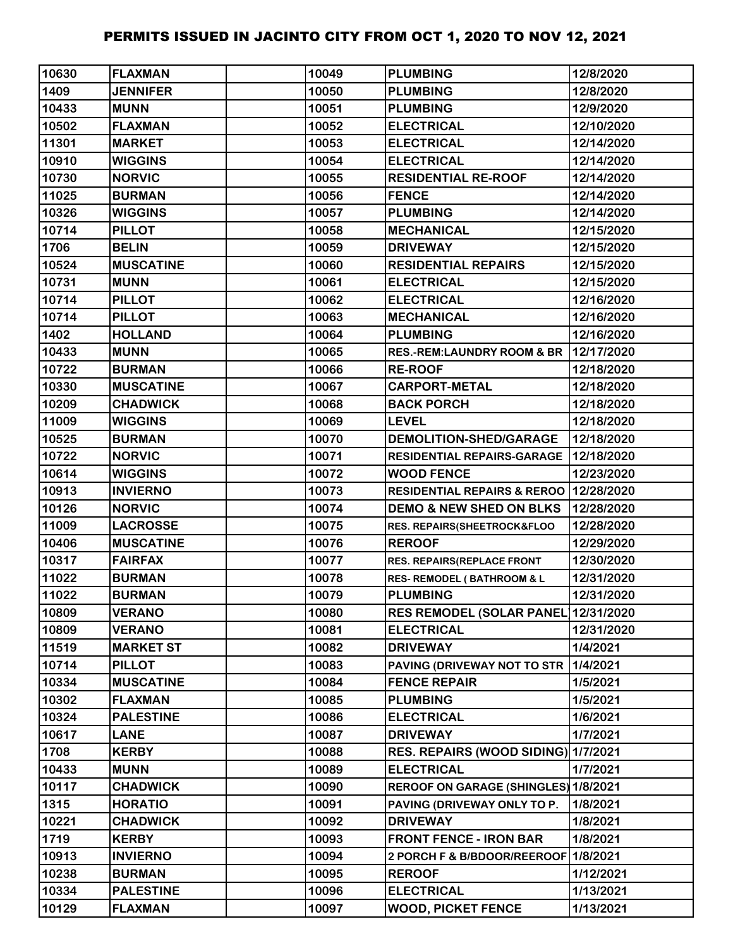| 10630 | <b>FLAXMAN</b>   | 10049 | <b>PLUMBING</b>                        | 12/8/2020  |
|-------|------------------|-------|----------------------------------------|------------|
| 1409  | <b>JENNIFER</b>  | 10050 | <b>PLUMBING</b>                        | 12/8/2020  |
| 10433 | <b>MUNN</b>      | 10051 | <b>PLUMBING</b>                        | 12/9/2020  |
| 10502 | <b>FLAXMAN</b>   | 10052 | <b>ELECTRICAL</b>                      | 12/10/2020 |
| 11301 | <b>MARKET</b>    | 10053 | <b>ELECTRICAL</b>                      | 12/14/2020 |
| 10910 | <b>WIGGINS</b>   | 10054 | <b>ELECTRICAL</b>                      | 12/14/2020 |
| 10730 | <b>NORVIC</b>    | 10055 | <b>RESIDENTIAL RE-ROOF</b>             | 12/14/2020 |
| 11025 | <b>BURMAN</b>    | 10056 | <b>FENCE</b>                           | 12/14/2020 |
| 10326 | <b>WIGGINS</b>   | 10057 | <b>PLUMBING</b>                        | 12/14/2020 |
| 10714 | <b>PILLOT</b>    | 10058 | <b>MECHANICAL</b>                      | 12/15/2020 |
| 1706  | <b>BELIN</b>     | 10059 | <b>DRIVEWAY</b>                        | 12/15/2020 |
| 10524 | <b>MUSCATINE</b> | 10060 | <b>RESIDENTIAL REPAIRS</b>             | 12/15/2020 |
| 10731 | <b>MUNN</b>      | 10061 | <b>ELECTRICAL</b>                      | 12/15/2020 |
| 10714 | <b>PILLOT</b>    | 10062 | <b>ELECTRICAL</b>                      | 12/16/2020 |
| 10714 | <b>PILLOT</b>    | 10063 | <b>MECHANICAL</b>                      | 12/16/2020 |
| 1402  | <b>HOLLAND</b>   | 10064 | <b>PLUMBING</b>                        | 12/16/2020 |
| 10433 | <b>MUNN</b>      | 10065 | <b>RES.-REM:LAUNDRY ROOM &amp; BR</b>  | 12/17/2020 |
| 10722 | <b>BURMAN</b>    | 10066 | <b>RE-ROOF</b>                         | 12/18/2020 |
| 10330 | <b>MUSCATINE</b> | 10067 | <b>CARPORT-METAL</b>                   | 12/18/2020 |
| 10209 | <b>CHADWICK</b>  | 10068 | <b>BACK PORCH</b>                      | 12/18/2020 |
| 11009 | <b>WIGGINS</b>   | 10069 | <b>LEVEL</b>                           | 12/18/2020 |
| 10525 | <b>BURMAN</b>    | 10070 | DEMOLITION-SHED/GARAGE                 | 12/18/2020 |
| 10722 | <b>NORVIC</b>    | 10071 | RESIDENTIAL REPAIRS-GARAGE             | 12/18/2020 |
| 10614 | <b>WIGGINS</b>   | 10072 | <b>WOOD FENCE</b>                      | 12/23/2020 |
| 10913 | <b>INVIERNO</b>  | 10073 | <b>RESIDENTIAL REPAIRS &amp; REROO</b> | 12/28/2020 |
| 10126 | <b>NORVIC</b>    | 10074 | <b>DEMO &amp; NEW SHED ON BLKS</b>     | 12/28/2020 |
| 11009 | <b>LACROSSE</b>  | 10075 | RES. REPAIRS(SHEETROCK&FLOO            | 12/28/2020 |
| 10406 | <b>MUSCATINE</b> | 10076 | <b>REROOF</b>                          | 12/29/2020 |
| 10317 | <b>FAIRFAX</b>   | 10077 | <b>RES. REPAIRS(REPLACE FRONT</b>      | 12/30/2020 |
| 11022 | <b>BURMAN</b>    | 10078 | <b>RES- REMODEL (BATHROOM &amp; L</b>  | 12/31/2020 |
| 11022 | <b>BURMAN</b>    | 10079 | <b>PLUMBING</b>                        | 12/31/2020 |
| 10809 | <b>VERANO</b>    | 10080 | <b>RES REMODEL (SOLAR PANEL</b>        | 12/31/2020 |
| 10809 | <b>VERANO</b>    | 10081 | <b>ELECTRICAL</b>                      | 12/31/2020 |
| 11519 | <b>MARKET ST</b> | 10082 | <b>DRIVEWAY</b>                        | 1/4/2021   |
| 10714 | <b>PILLOT</b>    | 10083 | PAVING (DRIVEWAY NOT TO STR            | 1/4/2021   |
| 10334 | <b>MUSCATINE</b> | 10084 | <b>FENCE REPAIR</b>                    | 1/5/2021   |
| 10302 | <b>FLAXMAN</b>   | 10085 | <b>PLUMBING</b>                        | 1/5/2021   |
| 10324 | <b>PALESTINE</b> | 10086 | <b>ELECTRICAL</b>                      | 1/6/2021   |
| 10617 | <b>LANE</b>      | 10087 | <b>DRIVEWAY</b>                        | 1/7/2021   |
| 1708  | <b>KERBY</b>     | 10088 | RES. REPAIRS (WOOD SIDING) 1/7/2021    |            |
| 10433 | <b>MUNN</b>      | 10089 | <b>ELECTRICAL</b>                      | 1/7/2021   |
| 10117 | <b>CHADWICK</b>  | 10090 | REROOF ON GARAGE (SHINGLES) 1/8/2021   |            |
| 1315  | <b>HORATIO</b>   | 10091 | PAVING (DRIVEWAY ONLY TO P.            | 1/8/2021   |
| 10221 | <b>CHADWICK</b>  | 10092 | <b>DRIVEWAY</b>                        | 1/8/2021   |
| 1719  | <b>KERBY</b>     | 10093 | <b>FRONT FENCE - IRON BAR</b>          | 1/8/2021   |
| 10913 | <b>INVIERNO</b>  | 10094 | 2 PORCH F & B/BDOOR/REEROOF            | 1/8/2021   |
| 10238 | <b>BURMAN</b>    | 10095 | <b>REROOF</b>                          | 1/12/2021  |
| 10334 | <b>PALESTINE</b> | 10096 | <b>ELECTRICAL</b>                      | 1/13/2021  |
| 10129 | <b>FLAXMAN</b>   | 10097 | <b>WOOD, PICKET FENCE</b>              | 1/13/2021  |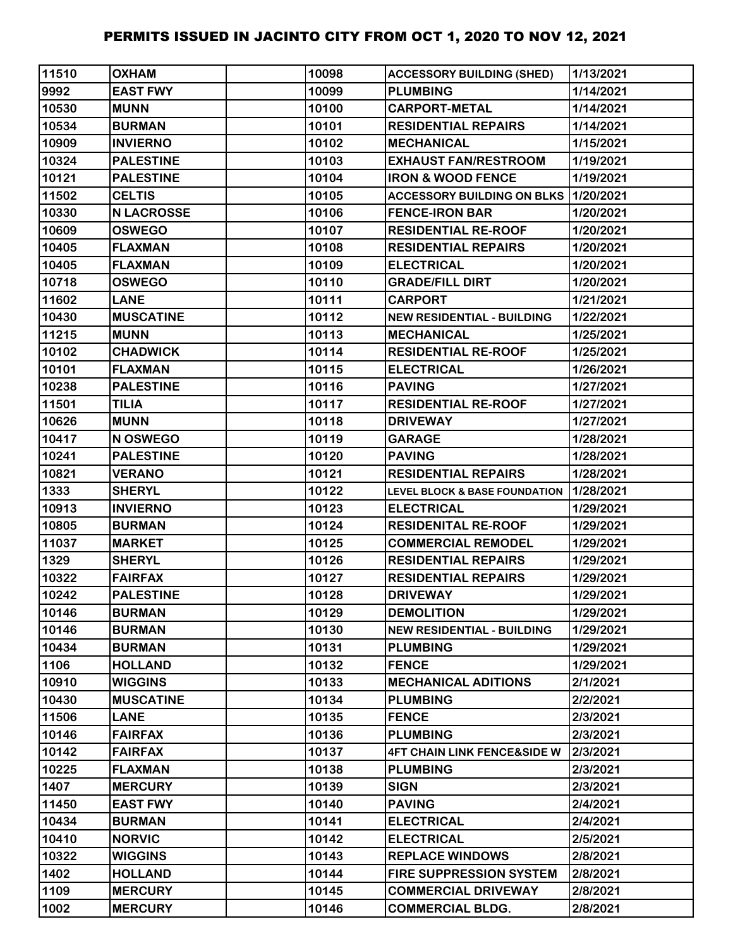| 11510 | <b>OXHAM</b>      | 10098 | <b>ACCESSORY BUILDING (SHED)</b>            | 1/13/2021 |
|-------|-------------------|-------|---------------------------------------------|-----------|
| 9992  | <b>EAST FWY</b>   | 10099 | <b>PLUMBING</b>                             | 1/14/2021 |
| 10530 | <b>MUNN</b>       | 10100 | <b>CARPORT-METAL</b>                        | 1/14/2021 |
| 10534 | <b>BURMAN</b>     | 10101 | <b>RESIDENTIAL REPAIRS</b>                  | 1/14/2021 |
| 10909 | <b>INVIERNO</b>   | 10102 | <b>MECHANICAL</b>                           | 1/15/2021 |
| 10324 | <b>PALESTINE</b>  | 10103 | <b>EXHAUST FAN/RESTROOM</b>                 | 1/19/2021 |
| 10121 | <b>PALESTINE</b>  | 10104 | <b>IRON &amp; WOOD FENCE</b>                | 1/19/2021 |
| 11502 | <b>CELTIS</b>     | 10105 | <b>ACCESSORY BUILDING ON BLKS 1/20/2021</b> |           |
| 10330 | <b>N LACROSSE</b> | 10106 | <b>FENCE-IRON BAR</b>                       | 1/20/2021 |
| 10609 | <b>OSWEGO</b>     | 10107 | <b>RESIDENTIAL RE-ROOF</b>                  | 1/20/2021 |
| 10405 | <b>FLAXMAN</b>    | 10108 | <b>RESIDENTIAL REPAIRS</b>                  | 1/20/2021 |
| 10405 | <b>FLAXMAN</b>    | 10109 | <b>ELECTRICAL</b>                           | 1/20/2021 |
| 10718 | <b>OSWEGO</b>     | 10110 | <b>GRADE/FILL DIRT</b>                      | 1/20/2021 |
| 11602 | <b>LANE</b>       | 10111 | <b>CARPORT</b>                              | 1/21/2021 |
| 10430 | <b>MUSCATINE</b>  | 10112 | <b>NEW RESIDENTIAL - BUILDING</b>           | 1/22/2021 |
| 11215 | <b>MUNN</b>       | 10113 | <b>MECHANICAL</b>                           | 1/25/2021 |
| 10102 | <b>CHADWICK</b>   | 10114 | <b>RESIDENTIAL RE-ROOF</b>                  | 1/25/2021 |
| 10101 | <b>FLAXMAN</b>    | 10115 | <b>ELECTRICAL</b>                           | 1/26/2021 |
| 10238 | <b>PALESTINE</b>  | 10116 | <b>PAVING</b>                               | 1/27/2021 |
| 11501 | <b>TILIA</b>      | 10117 | <b>RESIDENTIAL RE-ROOF</b>                  | 1/27/2021 |
| 10626 | <b>MUNN</b>       | 10118 | <b>DRIVEWAY</b>                             | 1/27/2021 |
| 10417 | N OSWEGO          | 10119 | <b>GARAGE</b>                               | 1/28/2021 |
| 10241 | <b>PALESTINE</b>  | 10120 | <b>PAVING</b>                               | 1/28/2021 |
| 10821 | <b>VERANO</b>     | 10121 | <b>RESIDENTIAL REPAIRS</b>                  | 1/28/2021 |
| 1333  | <b>SHERYL</b>     | 10122 | <b>LEVEL BLOCK &amp; BASE FOUNDATION</b>    | 1/28/2021 |
| 10913 | <b>INVIERNO</b>   | 10123 | <b>ELECTRICAL</b>                           | 1/29/2021 |
| 10805 | <b>BURMAN</b>     | 10124 | <b>RESIDENITAL RE-ROOF</b>                  | 1/29/2021 |
| 11037 | <b>MARKET</b>     | 10125 | <b>COMMERCIAL REMODEL</b>                   | 1/29/2021 |
| 1329  | <b>SHERYL</b>     | 10126 | <b>RESIDENTIAL REPAIRS</b>                  | 1/29/2021 |
| 10322 | <b>FAIRFAX</b>    | 10127 | <b>RESIDENTIAL REPAIRS</b>                  | 1/29/2021 |
| 10242 | <b>PALESTINE</b>  | 10128 | <b>DRIVEWAY</b>                             | 1/29/2021 |
| 10146 | <b>BURMAN</b>     | 10129 | <b>DEMOLITION</b>                           | 1/29/2021 |
| 10146 | <b>BURMAN</b>     | 10130 | <b>NEW RESIDENTIAL - BUILDING</b>           | 1/29/2021 |
| 10434 | <b>BURMAN</b>     | 10131 | <b>PLUMBING</b>                             | 1/29/2021 |
| 1106  | <b>HOLLAND</b>    | 10132 | <b>FENCE</b>                                | 1/29/2021 |
| 10910 | <b>WIGGINS</b>    | 10133 | <b>MECHANICAL ADITIONS</b>                  | 2/1/2021  |
| 10430 | <b>MUSCATINE</b>  | 10134 | <b>PLUMBING</b>                             | 2/2/2021  |
| 11506 | <b>LANE</b>       | 10135 | <b>FENCE</b>                                | 2/3/2021  |
| 10146 | <b>FAIRFAX</b>    | 10136 | <b>PLUMBING</b>                             | 2/3/2021  |
| 10142 | <b>FAIRFAX</b>    | 10137 | <b>4FT CHAIN LINK FENCE&amp;SIDE W</b>      | 2/3/2021  |
| 10225 | <b>FLAXMAN</b>    | 10138 | <b>PLUMBING</b>                             | 2/3/2021  |
| 1407  | <b>MERCURY</b>    | 10139 | <b>SIGN</b>                                 | 2/3/2021  |
| 11450 | <b>EAST FWY</b>   | 10140 | <b>PAVING</b>                               | 2/4/2021  |
| 10434 | <b>BURMAN</b>     | 10141 | <b>ELECTRICAL</b>                           | 2/4/2021  |
| 10410 | <b>NORVIC</b>     | 10142 | <b>ELECTRICAL</b>                           | 2/5/2021  |
| 10322 | <b>WIGGINS</b>    | 10143 | <b>REPLACE WINDOWS</b>                      | 2/8/2021  |
| 1402  | <b>HOLLAND</b>    | 10144 | <b>FIRE SUPPRESSION SYSTEM</b>              | 2/8/2021  |
| 1109  | <b>MERCURY</b>    | 10145 | <b>COMMERCIAL DRIVEWAY</b>                  | 2/8/2021  |
| 1002  | <b>MERCURY</b>    | 10146 | <b>COMMERCIAL BLDG.</b>                     | 2/8/2021  |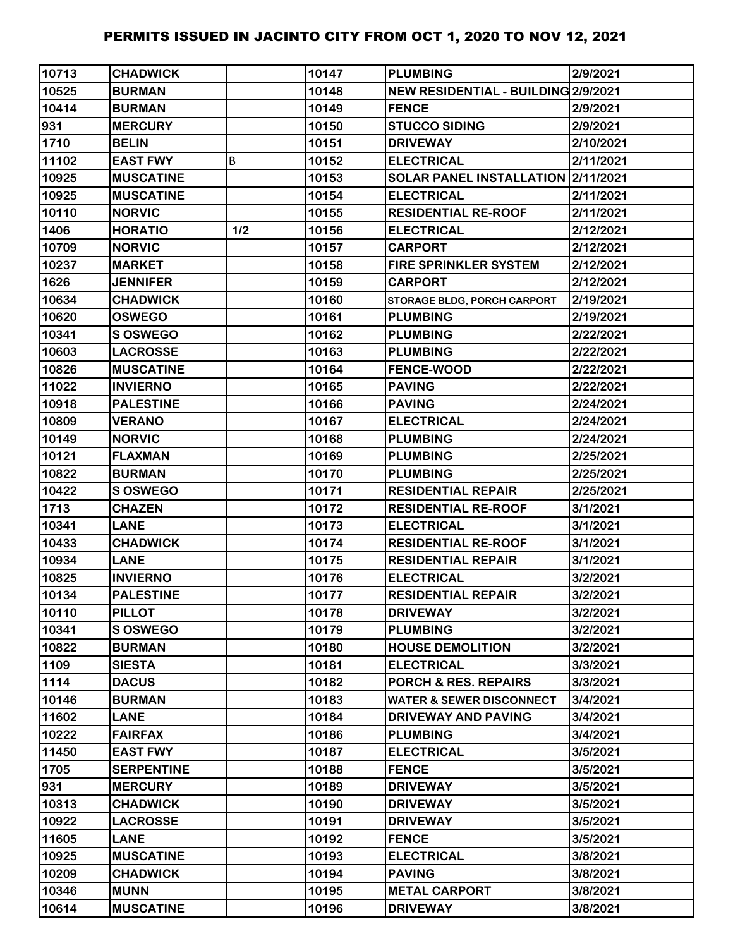| 10713 | <b>CHADWICK</b>   |     | 10147 | <b>PLUMBING</b>                     | 2/9/2021  |
|-------|-------------------|-----|-------|-------------------------------------|-----------|
| 10525 | <b>BURMAN</b>     |     | 10148 | NEW RESIDENTIAL - BUILDING 2/9/2021 |           |
| 10414 | <b>BURMAN</b>     |     | 10149 | <b>FENCE</b>                        | 2/9/2021  |
| 931   | <b>MERCURY</b>    |     | 10150 | <b>STUCCO SIDING</b>                | 2/9/2021  |
| 1710  | <b>BELIN</b>      |     | 10151 | <b>DRIVEWAY</b>                     | 2/10/2021 |
| 11102 | <b>EAST FWY</b>   | B   | 10152 | <b>ELECTRICAL</b>                   | 2/11/2021 |
| 10925 | <b>MUSCATINE</b>  |     | 10153 | SOLAR PANEL INSTALLATION 2/11/2021  |           |
| 10925 | <b>MUSCATINE</b>  |     | 10154 | <b>ELECTRICAL</b>                   | 2/11/2021 |
| 10110 | <b>NORVIC</b>     |     | 10155 | <b>RESIDENTIAL RE-ROOF</b>          | 2/11/2021 |
| 1406  | <b>HORATIO</b>    | 1/2 | 10156 | <b>ELECTRICAL</b>                   | 2/12/2021 |
| 10709 | <b>NORVIC</b>     |     | 10157 | <b>CARPORT</b>                      | 2/12/2021 |
| 10237 | <b>MARKET</b>     |     | 10158 | <b>FIRE SPRINKLER SYSTEM</b>        | 2/12/2021 |
| 1626  | <b>JENNIFER</b>   |     | 10159 | <b>CARPORT</b>                      | 2/12/2021 |
| 10634 | <b>CHADWICK</b>   |     | 10160 | <b>STORAGE BLDG, PORCH CARPORT</b>  | 2/19/2021 |
| 10620 | <b>OSWEGO</b>     |     | 10161 | <b>PLUMBING</b>                     | 2/19/2021 |
| 10341 | S OSWEGO          |     | 10162 | <b>PLUMBING</b>                     | 2/22/2021 |
| 10603 | <b>LACROSSE</b>   |     | 10163 | <b>PLUMBING</b>                     | 2/22/2021 |
| 10826 | <b>MUSCATINE</b>  |     | 10164 | <b>FENCE-WOOD</b>                   | 2/22/2021 |
| 11022 | <b>INVIERNO</b>   |     | 10165 | <b>PAVING</b>                       | 2/22/2021 |
| 10918 | <b>PALESTINE</b>  |     | 10166 | <b>PAVING</b>                       | 2/24/2021 |
| 10809 | <b>VERANO</b>     |     | 10167 | <b>ELECTRICAL</b>                   | 2/24/2021 |
| 10149 | <b>NORVIC</b>     |     | 10168 | <b>PLUMBING</b>                     | 2/24/2021 |
| 10121 | <b>FLAXMAN</b>    |     | 10169 | <b>PLUMBING</b>                     | 2/25/2021 |
| 10822 | <b>BURMAN</b>     |     | 10170 | <b>PLUMBING</b>                     | 2/25/2021 |
| 10422 | <b>S OSWEGO</b>   |     | 10171 | <b>RESIDENTIAL REPAIR</b>           | 2/25/2021 |
| 1713  | <b>CHAZEN</b>     |     | 10172 | <b>RESIDENTIAL RE-ROOF</b>          | 3/1/2021  |
| 10341 | <b>LANE</b>       |     | 10173 | <b>ELECTRICAL</b>                   | 3/1/2021  |
| 10433 | <b>CHADWICK</b>   |     | 10174 | <b>RESIDENTIAL RE-ROOF</b>          | 3/1/2021  |
| 10934 | <b>LANE</b>       |     | 10175 | <b>RESIDENTIAL REPAIR</b>           | 3/1/2021  |
| 10825 | <b>INVIERNO</b>   |     | 10176 | <b>ELECTRICAL</b>                   | 3/2/2021  |
| 10134 | <b>PALESTINE</b>  |     | 10177 | <b>RESIDENTIAL REPAIR</b>           | 3/2/2021  |
| 10110 | <b>PILLOT</b>     |     | 10178 | <b>DRIVEWAY</b>                     | 3/2/2021  |
| 10341 | <b>SOSWEGO</b>    |     | 10179 | <b>PLUMBING</b>                     | 3/2/2021  |
| 10822 | <b>BURMAN</b>     |     | 10180 | <b>HOUSE DEMOLITION</b>             | 3/2/2021  |
| 1109  | <b>SIESTA</b>     |     | 10181 | <b>ELECTRICAL</b>                   | 3/3/2021  |
| 1114  | <b>DACUS</b>      |     | 10182 | <b>PORCH &amp; RES. REPAIRS</b>     | 3/3/2021  |
| 10146 | <b>BURMAN</b>     |     | 10183 | <b>WATER &amp; SEWER DISCONNECT</b> | 3/4/2021  |
| 11602 | <b>LANE</b>       |     | 10184 | <b>DRIVEWAY AND PAVING</b>          | 3/4/2021  |
| 10222 | <b>FAIRFAX</b>    |     | 10186 | <b>PLUMBING</b>                     | 3/4/2021  |
| 11450 | <b>EAST FWY</b>   |     | 10187 | <b>ELECTRICAL</b>                   | 3/5/2021  |
| 1705  | <b>SERPENTINE</b> |     | 10188 | <b>FENCE</b>                        | 3/5/2021  |
| 931   | <b>MERCURY</b>    |     | 10189 | <b>DRIVEWAY</b>                     | 3/5/2021  |
| 10313 | <b>CHADWICK</b>   |     | 10190 | <b>DRIVEWAY</b>                     | 3/5/2021  |
| 10922 | <b>LACROSSE</b>   |     | 10191 | <b>DRIVEWAY</b>                     | 3/5/2021  |
| 11605 | <b>LANE</b>       |     | 10192 | <b>FENCE</b>                        | 3/5/2021  |
| 10925 | <b>MUSCATINE</b>  |     | 10193 | <b>ELECTRICAL</b>                   | 3/8/2021  |
| 10209 | <b>CHADWICK</b>   |     | 10194 | <b>PAVING</b>                       | 3/8/2021  |
| 10346 | <b>MUNN</b>       |     | 10195 | <b>METAL CARPORT</b>                | 3/8/2021  |
| 10614 | <b>MUSCATINE</b>  |     | 10196 | <b>DRIVEWAY</b>                     | 3/8/2021  |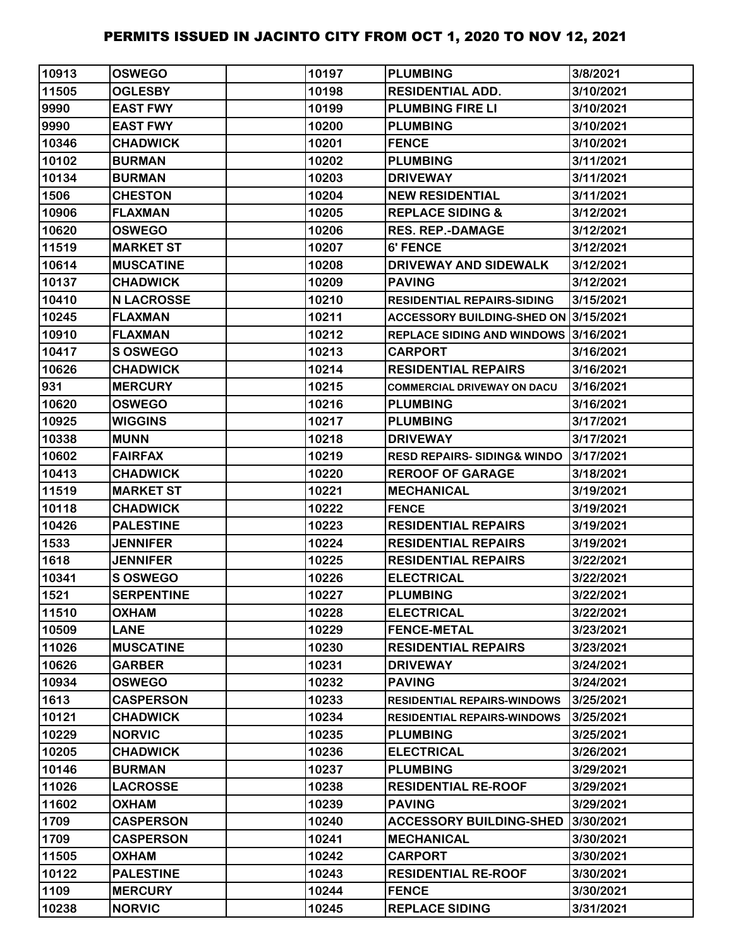| 10913 | <b>OSWEGO</b>     | 10197 | <b>PLUMBING</b>                        | 3/8/2021  |
|-------|-------------------|-------|----------------------------------------|-----------|
| 11505 | <b>OGLESBY</b>    | 10198 | <b>RESIDENTIAL ADD.</b>                | 3/10/2021 |
| 9990  | <b>EAST FWY</b>   | 10199 | <b>PLUMBING FIRE LI</b>                | 3/10/2021 |
| 9990  | <b>EAST FWY</b>   | 10200 | <b>PLUMBING</b>                        | 3/10/2021 |
| 10346 | <b>CHADWICK</b>   | 10201 | <b>FENCE</b>                           | 3/10/2021 |
| 10102 | <b>BURMAN</b>     | 10202 | <b>PLUMBING</b>                        | 3/11/2021 |
| 10134 | <b>BURMAN</b>     | 10203 | <b>DRIVEWAY</b>                        | 3/11/2021 |
| 1506  | <b>CHESTON</b>    | 10204 | <b>NEW RESIDENTIAL</b>                 | 3/11/2021 |
| 10906 | <b>FLAXMAN</b>    | 10205 | <b>REPLACE SIDING &amp;</b>            | 3/12/2021 |
| 10620 | <b>OSWEGO</b>     | 10206 | <b>RES. REP.-DAMAGE</b>                | 3/12/2021 |
| 11519 | <b>MARKET ST</b>  | 10207 | 6' FENCE                               | 3/12/2021 |
| 10614 | <b>MUSCATINE</b>  | 10208 | <b>DRIVEWAY AND SIDEWALK</b>           | 3/12/2021 |
| 10137 | <b>CHADWICK</b>   | 10209 | <b>PAVING</b>                          | 3/12/2021 |
| 10410 | <b>N LACROSSE</b> | 10210 | <b>RESIDENTIAL REPAIRS-SIDING</b>      | 3/15/2021 |
| 10245 | <b>FLAXMAN</b>    | 10211 | ACCESSORY BUILDING-SHED ON 3/15/2021   |           |
| 10910 | <b>FLAXMAN</b>    | 10212 | REPLACE SIDING AND WINDOWS 3/16/2021   |           |
| 10417 | S OSWEGO          | 10213 | CARPORT                                | 3/16/2021 |
| 10626 | <b>CHADWICK</b>   | 10214 | <b>RESIDENTIAL REPAIRS</b>             | 3/16/2021 |
| 931   | <b>MERCURY</b>    | 10215 | <b>COMMERCIAL DRIVEWAY ON DACU</b>     | 3/16/2021 |
| 10620 | <b>OSWEGO</b>     | 10216 | <b>PLUMBING</b>                        | 3/16/2021 |
| 10925 | <b>WIGGINS</b>    | 10217 | <b>PLUMBING</b>                        | 3/17/2021 |
| 10338 | <b>MUNN</b>       | 10218 | <b>DRIVEWAY</b>                        | 3/17/2021 |
| 10602 | <b>FAIRFAX</b>    | 10219 | <b>RESD REPAIRS- SIDING&amp; WINDO</b> | 3/17/2021 |
| 10413 | <b>CHADWICK</b>   | 10220 | <b>REROOF OF GARAGE</b>                | 3/18/2021 |
| 11519 | <b>MARKET ST</b>  | 10221 | <b>MECHANICAL</b>                      | 3/19/2021 |
| 10118 | <b>CHADWICK</b>   | 10222 | <b>FENCE</b>                           | 3/19/2021 |
| 10426 | <b>PALESTINE</b>  | 10223 | <b>RESIDENTIAL REPAIRS</b>             | 3/19/2021 |
| 1533  | <b>JENNIFER</b>   | 10224 | <b>RESIDENTIAL REPAIRS</b>             | 3/19/2021 |
| 1618  | <b>JENNIFER</b>   | 10225 | <b>RESIDENTIAL REPAIRS</b>             | 3/22/2021 |
| 10341 | <b>S OSWEGO</b>   | 10226 | <b>ELECTRICAL</b>                      | 3/22/2021 |
| 1521  | <b>SERPENTINE</b> | 10227 | <b>PLUMBING</b>                        | 3/22/2021 |
| 11510 | <b>OXHAM</b>      | 10228 | <b>ELECTRICAL</b>                      | 3/22/2021 |
| 10509 | <b>LANE</b>       | 10229 | <b>FENCE-METAL</b>                     | 3/23/2021 |
| 11026 | <b>MUSCATINE</b>  | 10230 | <b>RESIDENTIAL REPAIRS</b>             | 3/23/2021 |
| 10626 | <b>GARBER</b>     | 10231 | <b>DRIVEWAY</b>                        | 3/24/2021 |
| 10934 | <b>OSWEGO</b>     | 10232 | <b>PAVING</b>                          | 3/24/2021 |
| 1613  | <b>CASPERSON</b>  | 10233 | <b>RESIDENTIAL REPAIRS-WINDOWS</b>     | 3/25/2021 |
| 10121 | <b>CHADWICK</b>   | 10234 | <b>RESIDENTIAL REPAIRS-WINDOWS</b>     | 3/25/2021 |
| 10229 | <b>NORVIC</b>     | 10235 | <b>PLUMBING</b>                        | 3/25/2021 |
| 10205 | <b>CHADWICK</b>   | 10236 | <b>ELECTRICAL</b>                      | 3/26/2021 |
| 10146 | <b>BURMAN</b>     | 10237 | <b>PLUMBING</b>                        | 3/29/2021 |
| 11026 | <b>LACROSSE</b>   | 10238 | <b>RESIDENTIAL RE-ROOF</b>             | 3/29/2021 |
| 11602 | <b>NAHXO</b>      | 10239 | <b>PAVING</b>                          | 3/29/2021 |
| 1709  | <b>CASPERSON</b>  | 10240 | <b>ACCESSORY BUILDING-SHED</b>         | 3/30/2021 |
| 1709  | <b>CASPERSON</b>  | 10241 | <b>MECHANICAL</b>                      | 3/30/2021 |
| 11505 | <b>NAHXO</b>      | 10242 | <b>CARPORT</b>                         | 3/30/2021 |
| 10122 | <b>PALESTINE</b>  | 10243 | <b>RESIDENTIAL RE-ROOF</b>             | 3/30/2021 |
| 1109  | <b>MERCURY</b>    | 10244 | <b>FENCE</b>                           | 3/30/2021 |
| 10238 | <b>NORVIC</b>     | 10245 | <b>REPLACE SIDING</b>                  | 3/31/2021 |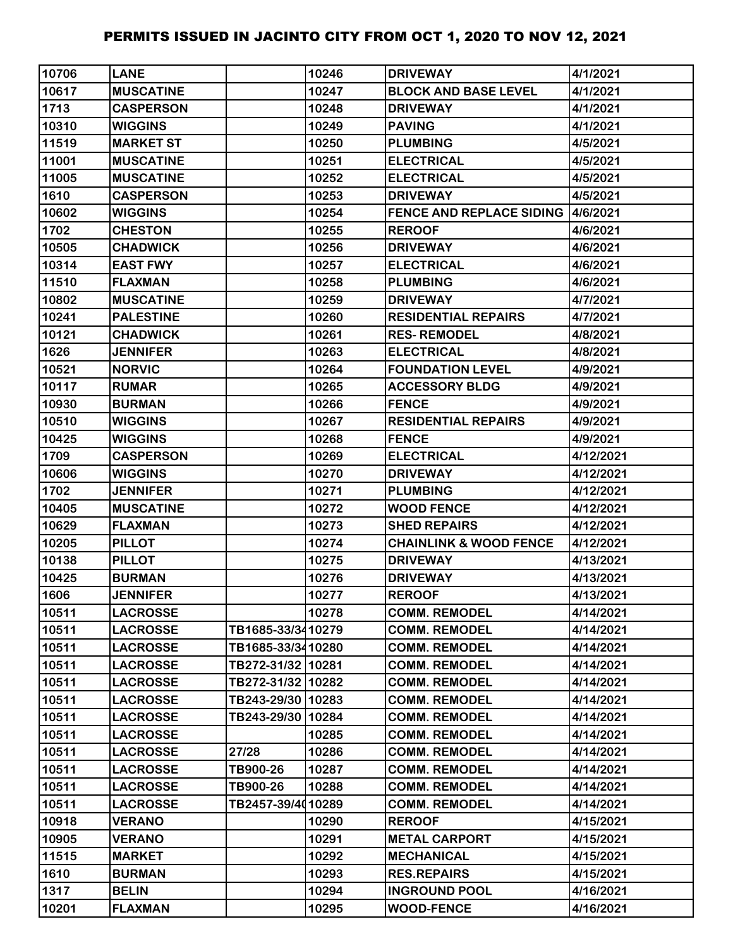| 10706 | <b>LANE</b>      |                   | 10246 | <b>DRIVEWAY</b>                           | 4/1/2021  |
|-------|------------------|-------------------|-------|-------------------------------------------|-----------|
| 10617 | <b>MUSCATINE</b> |                   | 10247 | <b>BLOCK AND BASE LEVEL</b>               | 4/1/2021  |
| 1713  | <b>CASPERSON</b> |                   | 10248 | <b>DRIVEWAY</b>                           | 4/1/2021  |
| 10310 | <b>WIGGINS</b>   |                   | 10249 | <b>PAVING</b>                             | 4/1/2021  |
| 11519 | <b>MARKET ST</b> |                   | 10250 | <b>PLUMBING</b>                           | 4/5/2021  |
| 11001 | <b>MUSCATINE</b> |                   | 10251 | <b>ELECTRICAL</b>                         | 4/5/2021  |
| 11005 | <b>MUSCATINE</b> |                   | 10252 | <b>ELECTRICAL</b>                         | 4/5/2021  |
| 1610  | <b>CASPERSON</b> |                   | 10253 | <b>DRIVEWAY</b>                           | 4/5/2021  |
| 10602 | <b>WIGGINS</b>   |                   | 10254 | <b>FENCE AND REPLACE SIDING 14/6/2021</b> |           |
| 1702  | <b>CHESTON</b>   |                   | 10255 | <b>REROOF</b>                             | 4/6/2021  |
| 10505 | <b>CHADWICK</b>  |                   | 10256 | <b>DRIVEWAY</b>                           | 4/6/2021  |
| 10314 | <b>EAST FWY</b>  |                   | 10257 | <b>ELECTRICAL</b>                         | 4/6/2021  |
| 11510 | <b>FLAXMAN</b>   |                   | 10258 | <b>PLUMBING</b>                           | 4/6/2021  |
| 10802 | <b>MUSCATINE</b> |                   | 10259 | <b>DRIVEWAY</b>                           | 4/7/2021  |
| 10241 | <b>PALESTINE</b> |                   | 10260 | <b>RESIDENTIAL REPAIRS</b>                | 4/7/2021  |
| 10121 | <b>CHADWICK</b>  |                   | 10261 | <b>RES-REMODEL</b>                        | 4/8/2021  |
| 1626  | <b>JENNIFER</b>  |                   | 10263 | <b>ELECTRICAL</b>                         | 4/8/2021  |
| 10521 | <b>NORVIC</b>    |                   | 10264 | <b>FOUNDATION LEVEL</b>                   | 4/9/2021  |
| 10117 | <b>RUMAR</b>     |                   | 10265 | <b>ACCESSORY BLDG</b>                     | 4/9/2021  |
| 10930 | <b>BURMAN</b>    |                   | 10266 | <b>FENCE</b>                              | 4/9/2021  |
| 10510 | <b>WIGGINS</b>   |                   | 10267 | <b>RESIDENTIAL REPAIRS</b>                | 4/9/2021  |
| 10425 | <b>WIGGINS</b>   |                   | 10268 | <b>FENCE</b>                              | 4/9/2021  |
| 1709  | <b>CASPERSON</b> |                   | 10269 | <b>ELECTRICAL</b>                         | 4/12/2021 |
| 10606 | <b>WIGGINS</b>   |                   | 10270 | <b>DRIVEWAY</b>                           | 4/12/2021 |
| 1702  | <b>JENNIFER</b>  |                   | 10271 | <b>PLUMBING</b>                           | 4/12/2021 |
| 10405 | <b>MUSCATINE</b> |                   | 10272 | <b>WOOD FENCE</b>                         | 4/12/2021 |
| 10629 | <b>FLAXMAN</b>   |                   | 10273 | <b>SHED REPAIRS</b>                       | 4/12/2021 |
| 10205 | <b>PILLOT</b>    |                   | 10274 | <b>CHAINLINK &amp; WOOD FENCE</b>         | 4/12/2021 |
| 10138 | <b>PILLOT</b>    |                   | 10275 | <b>DRIVEWAY</b>                           | 4/13/2021 |
| 10425 | <b>BURMAN</b>    |                   | 10276 | <b>DRIVEWAY</b>                           | 4/13/2021 |
| 1606  | <b>JENNIFER</b>  |                   | 10277 | <b>REROOF</b>                             | 4/13/2021 |
| 10511 | <b>LACROSSE</b>  |                   | 10278 | <b>COMM. REMODEL</b>                      | 4/14/2021 |
| 10511 | <b>LACROSSE</b>  | TB1685-33/3410279 |       | <b>COMM. REMODEL</b>                      | 4/14/2021 |
| 10511 | <b>LACROSSE</b>  | TB1685-33/3410280 |       | <b>COMM. REMODEL</b>                      | 4/14/2021 |
| 10511 | <b>LACROSSE</b>  | TB272-31/32 10281 |       | <b>COMM. REMODEL</b>                      | 4/14/2021 |
| 10511 | <b>LACROSSE</b>  | TB272-31/32 10282 |       | <b>COMM. REMODEL</b>                      | 4/14/2021 |
| 10511 | <b>LACROSSE</b>  | TB243-29/30 10283 |       | <b>COMM. REMODEL</b>                      | 4/14/2021 |
| 10511 | <b>LACROSSE</b>  | TB243-29/30 10284 |       | <b>COMM. REMODEL</b>                      | 4/14/2021 |
| 10511 | <b>LACROSSE</b>  |                   | 10285 | <b>COMM. REMODEL</b>                      | 4/14/2021 |
| 10511 | <b>LACROSSE</b>  | 27/28             | 10286 | <b>COMM. REMODEL</b>                      | 4/14/2021 |
| 10511 | <b>LACROSSE</b>  | TB900-26          | 10287 | <b>COMM. REMODEL</b>                      | 4/14/2021 |
| 10511 | <b>LACROSSE</b>  | TB900-26          | 10288 | <b>COMM. REMODEL</b>                      | 4/14/2021 |
| 10511 | <b>LACROSSE</b>  | TB2457-39/4010289 |       | <b>COMM. REMODEL</b>                      | 4/14/2021 |
| 10918 | <b>VERANO</b>    |                   | 10290 | <b>REROOF</b>                             | 4/15/2021 |
| 10905 | <b>VERANO</b>    |                   | 10291 | <b>METAL CARPORT</b>                      | 4/15/2021 |
| 11515 | <b>MARKET</b>    |                   | 10292 | <b>MECHANICAL</b>                         | 4/15/2021 |
| 1610  | <b>BURMAN</b>    |                   | 10293 | <b>RES.REPAIRS</b>                        | 4/15/2021 |
| 1317  | <b>BELIN</b>     |                   | 10294 | <b>INGROUND POOL</b>                      | 4/16/2021 |
| 10201 | <b>FLAXMAN</b>   |                   | 10295 | <b>WOOD-FENCE</b>                         | 4/16/2021 |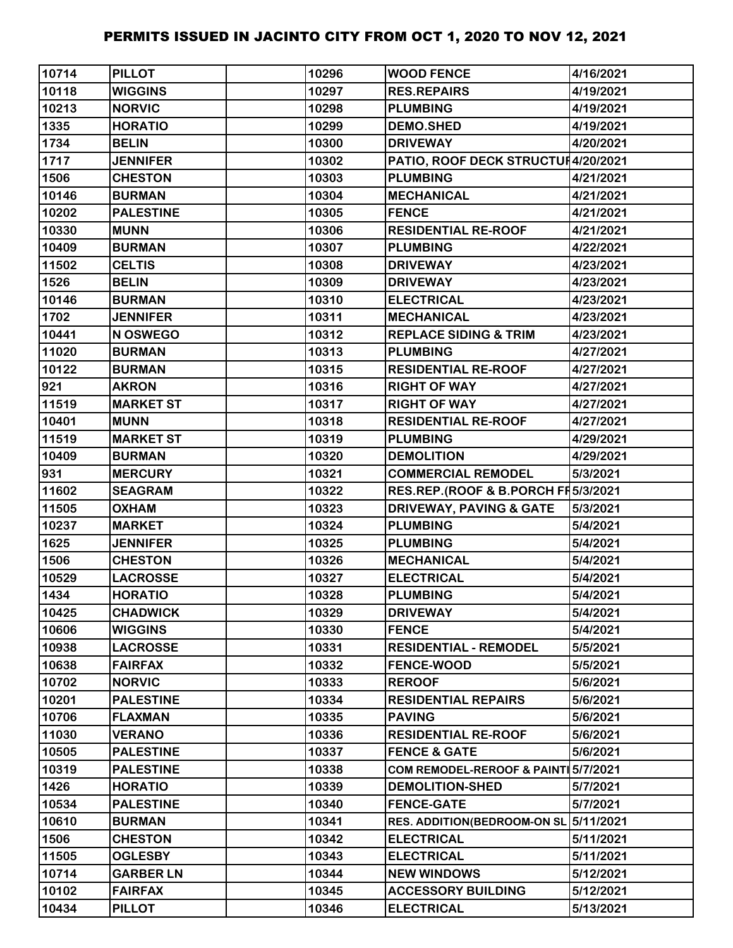| 10714 | <b>PILLOT</b>    | 10296 | <b>WOOD FENCE</b>                   | 4/16/2021 |
|-------|------------------|-------|-------------------------------------|-----------|
| 10118 | <b>WIGGINS</b>   | 10297 | <b>RES.REPAIRS</b>                  | 4/19/2021 |
| 10213 | <b>NORVIC</b>    | 10298 | <b>PLUMBING</b>                     | 4/19/2021 |
| 1335  | <b>HORATIO</b>   | 10299 | <b>DEMO.SHED</b>                    | 4/19/2021 |
| 1734  | <b>BELIN</b>     | 10300 | <b>DRIVEWAY</b>                     | 4/20/2021 |
| 1717  | <b>JENNIFER</b>  | 10302 | PATIO, ROOF DECK STRUCTUH4/20/2021  |           |
| 1506  | <b>CHESTON</b>   | 10303 | <b>PLUMBING</b>                     | 4/21/2021 |
| 10146 | <b>BURMAN</b>    | 10304 | <b>MECHANICAL</b>                   | 4/21/2021 |
| 10202 | <b>PALESTINE</b> | 10305 | <b>FENCE</b>                        | 4/21/2021 |
| 10330 | <b>MUNN</b>      | 10306 | <b>RESIDENTIAL RE-ROOF</b>          | 4/21/2021 |
| 10409 | <b>BURMAN</b>    | 10307 | <b>PLUMBING</b>                     | 4/22/2021 |
| 11502 | <b>CELTIS</b>    | 10308 | <b>DRIVEWAY</b>                     | 4/23/2021 |
| 1526  | <b>BELIN</b>     | 10309 | <b>DRIVEWAY</b>                     | 4/23/2021 |
| 10146 | <b>BURMAN</b>    | 10310 | <b>ELECTRICAL</b>                   | 4/23/2021 |
| 1702  | <b>JENNIFER</b>  | 10311 | <b>MECHANICAL</b>                   | 4/23/2021 |
| 10441 | N OSWEGO         | 10312 | <b>REPLACE SIDING &amp; TRIM</b>    | 4/23/2021 |
| 11020 | <b>BURMAN</b>    | 10313 | <b>PLUMBING</b>                     | 4/27/2021 |
| 10122 | <b>BURMAN</b>    | 10315 | <b>RESIDENTIAL RE-ROOF</b>          | 4/27/2021 |
| 921   | <b>AKRON</b>     | 10316 | <b>RIGHT OF WAY</b>                 | 4/27/2021 |
| 11519 | <b>MARKET ST</b> | 10317 | <b>RIGHT OF WAY</b>                 | 4/27/2021 |
| 10401 | <b>MUNN</b>      | 10318 | <b>RESIDENTIAL RE-ROOF</b>          | 4/27/2021 |
| 11519 | <b>MARKET ST</b> | 10319 | <b>PLUMBING</b>                     | 4/29/2021 |
| 10409 | <b>BURMAN</b>    | 10320 | <b>DEMOLITION</b>                   | 4/29/2021 |
| 931   | <b>MERCURY</b>   | 10321 | <b>COMMERCIAL REMODEL</b>           | 5/3/2021  |
| 11602 | <b>SEAGRAM</b>   | 10322 | RES.REP.(ROOF & B.PORCH FI5/3/2021  |           |
| 11505 | <b>OXHAM</b>     | 10323 | <b>DRIVEWAY, PAVING &amp; GATE</b>  | 5/3/2021  |
| 10237 | <b>MARKET</b>    | 10324 | <b>PLUMBING</b>                     | 5/4/2021  |
| 1625  | <b>JENNIFER</b>  | 10325 | <b>PLUMBING</b>                     | 5/4/2021  |
| 1506  | <b>CHESTON</b>   | 10326 | <b>MECHANICAL</b>                   | 5/4/2021  |
| 10529 | <b>LACROSSE</b>  | 10327 | <b>ELECTRICAL</b>                   | 5/4/2021  |
| 1434  | <b>HORATIO</b>   | 10328 | <b>PLUMBING</b>                     | 5/4/2021  |
| 10425 | <b>CHADWICK</b>  | 10329 | <b>DRIVEWAY</b>                     | 5/4/2021  |
| 10606 | <b>WIGGINS</b>   | 10330 | <b>FENCE</b>                        | 5/4/2021  |
| 10938 | <b>LACROSSE</b>  | 10331 | <b>RESIDENTIAL - REMODEL</b>        | 5/5/2021  |
| 10638 | <b>FAIRFAX</b>   | 10332 | <b>FENCE-WOOD</b>                   | 5/5/2021  |
| 10702 | <b>NORVIC</b>    | 10333 | <b>REROOF</b>                       | 5/6/2021  |
| 10201 | <b>PALESTINE</b> | 10334 | <b>RESIDENTIAL REPAIRS</b>          | 5/6/2021  |
| 10706 | <b>FLAXMAN</b>   | 10335 | <b>PAVING</b>                       | 5/6/2021  |
| 11030 | <b>VERANO</b>    | 10336 | <b>RESIDENTIAL RE-ROOF</b>          | 5/6/2021  |
| 10505 | <b>PALESTINE</b> | 10337 | <b>FENCE &amp; GATE</b>             | 5/6/2021  |
| 10319 | <b>PALESTINE</b> | 10338 | COM REMODEL-REROOF & PAINT 5/7/2021 |           |
| 1426  | <b>HORATIO</b>   | 10339 | <b>DEMOLITION-SHED</b>              | 5/7/2021  |
| 10534 | <b>PALESTINE</b> | 10340 | <b>FENCE-GATE</b>                   | 5/7/2021  |
| 10610 | <b>BURMAN</b>    | 10341 | RES. ADDITION(BEDROOM-ON SL         | 5/11/2021 |
| 1506  | <b>CHESTON</b>   | 10342 | <b>ELECTRICAL</b>                   | 5/11/2021 |
| 11505 | <b>OGLESBY</b>   | 10343 | <b>ELECTRICAL</b>                   | 5/11/2021 |
| 10714 | <b>GARBER LN</b> | 10344 | <b>NEW WINDOWS</b>                  | 5/12/2021 |
| 10102 | <b>FAIRFAX</b>   | 10345 | <b>ACCESSORY BUILDING</b>           | 5/12/2021 |
| 10434 | <b>PILLOT</b>    | 10346 | <b>ELECTRICAL</b>                   | 5/13/2021 |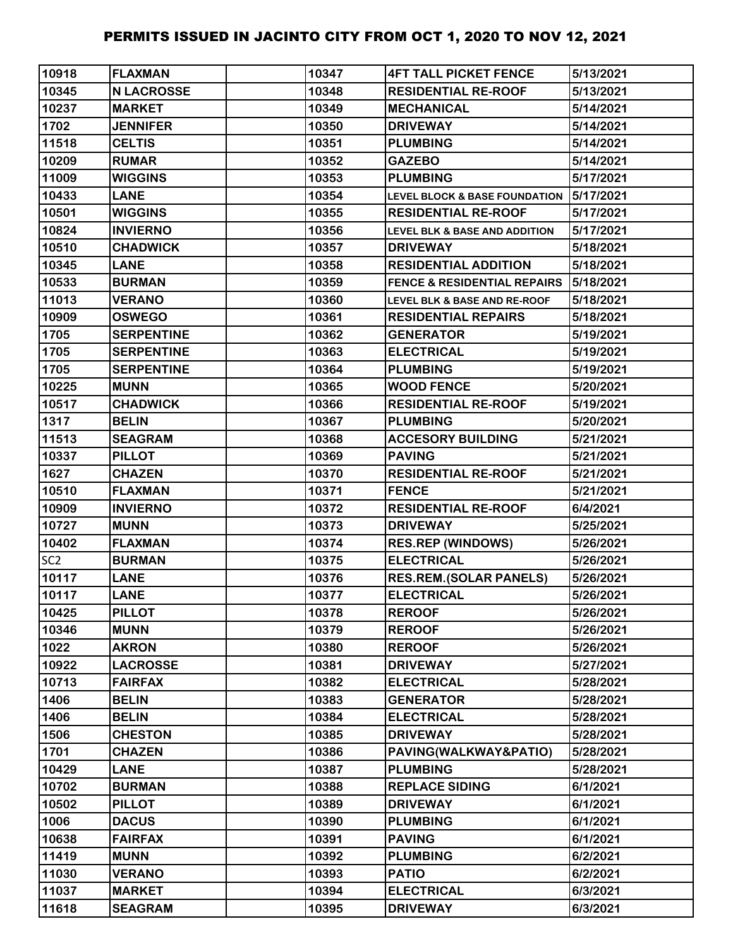| 10918           | <b>FLAXMAN</b>    | 10347 | <b>4FT TALL PICKET FENCE</b>             | 5/13/2021 |
|-----------------|-------------------|-------|------------------------------------------|-----------|
| 10345           | <b>N LACROSSE</b> | 10348 | <b>RESIDENTIAL RE-ROOF</b>               | 5/13/2021 |
| 10237           | <b>MARKET</b>     | 10349 | <b>MECHANICAL</b>                        | 5/14/2021 |
| 1702            | <b>JENNIFER</b>   | 10350 | <b>DRIVEWAY</b>                          | 5/14/2021 |
| 11518           | <b>CELTIS</b>     | 10351 | <b>PLUMBING</b>                          | 5/14/2021 |
| 10209           | <b>RUMAR</b>      | 10352 | <b>GAZEBO</b>                            | 5/14/2021 |
| 11009           | <b>WIGGINS</b>    | 10353 | <b>PLUMBING</b>                          | 5/17/2021 |
| 10433           | <b>LANE</b>       | 10354 | <b>LEVEL BLOCK &amp; BASE FOUNDATION</b> | 5/17/2021 |
| 10501           | <b>WIGGINS</b>    | 10355 | <b>RESIDENTIAL RE-ROOF</b>               | 5/17/2021 |
| 10824           | <b>INVIERNO</b>   | 10356 | <b>LEVEL BLK &amp; BASE AND ADDITION</b> | 5/17/2021 |
| 10510           | <b>CHADWICK</b>   | 10357 | <b>DRIVEWAY</b>                          | 5/18/2021 |
| 10345           | <b>LANE</b>       | 10358 | <b>RESIDENTIAL ADDITION</b>              | 5/18/2021 |
| 10533           | <b>BURMAN</b>     | 10359 | <b>FENCE &amp; RESIDENTIAL REPAIRS</b>   | 5/18/2021 |
| 11013           | <b>VERANO</b>     | 10360 | <b>LEVEL BLK &amp; BASE AND RE-ROOF</b>  | 5/18/2021 |
| 10909           | <b>OSWEGO</b>     | 10361 | <b>RESIDENTIAL REPAIRS</b>               | 5/18/2021 |
| 1705            | <b>SERPENTINE</b> | 10362 | <b>GENERATOR</b>                         | 5/19/2021 |
| 1705            | <b>SERPENTINE</b> | 10363 | <b>ELECTRICAL</b>                        | 5/19/2021 |
| 1705            | <b>SERPENTINE</b> | 10364 | <b>PLUMBING</b>                          | 5/19/2021 |
| 10225           | <b>MUNN</b>       | 10365 | <b>WOOD FENCE</b>                        | 5/20/2021 |
| 10517           | <b>CHADWICK</b>   | 10366 | <b>RESIDENTIAL RE-ROOF</b>               | 5/19/2021 |
| 1317            | <b>BELIN</b>      | 10367 | <b>PLUMBING</b>                          | 5/20/2021 |
| 11513           | <b>SEAGRAM</b>    | 10368 | <b>ACCESORY BUILDING</b>                 | 5/21/2021 |
| 10337           | <b>PILLOT</b>     | 10369 | <b>PAVING</b>                            | 5/21/2021 |
| 1627            | <b>CHAZEN</b>     | 10370 | <b>RESIDENTIAL RE-ROOF</b>               | 5/21/2021 |
| 10510           | <b>FLAXMAN</b>    | 10371 | <b>FENCE</b>                             | 5/21/2021 |
| 10909           | <b>INVIERNO</b>   | 10372 | <b>RESIDENTIAL RE-ROOF</b>               | 6/4/2021  |
| 10727           | <b>MUNN</b>       | 10373 | <b>DRIVEWAY</b>                          | 5/25/2021 |
| 10402           | <b>FLAXMAN</b>    | 10374 | <b>RES.REP (WINDOWS)</b>                 | 5/26/2021 |
| SC <sub>2</sub> | <b>BURMAN</b>     | 10375 | <b>ELECTRICAL</b>                        | 5/26/2021 |
| 10117           | <b>LANE</b>       | 10376 | <b>RES.REM.(SOLAR PANELS)</b>            | 5/26/2021 |
| 10117           | <b>LANE</b>       | 10377 | <b>ELECTRICAL</b>                        | 5/26/2021 |
| 10425           | <b>PILLOT</b>     | 10378 | <b>REROOF</b>                            | 5/26/2021 |
| 10346           | <b>MUNN</b>       | 10379 | <b>REROOF</b>                            | 5/26/2021 |
| 1022            | <b>AKRON</b>      | 10380 | <b>REROOF</b>                            | 5/26/2021 |
| 10922           | <b>LACROSSE</b>   | 10381 | <b>DRIVEWAY</b>                          | 5/27/2021 |
| 10713           | <b>FAIRFAX</b>    | 10382 | <b>ELECTRICAL</b>                        | 5/28/2021 |
| 1406            | <b>BELIN</b>      | 10383 | <b>GENERATOR</b>                         | 5/28/2021 |
| 1406            | <b>BELIN</b>      | 10384 | <b>ELECTRICAL</b>                        | 5/28/2021 |
| 1506            | <b>CHESTON</b>    | 10385 | <b>DRIVEWAY</b>                          | 5/28/2021 |
| 1701            | <b>CHAZEN</b>     | 10386 | PAVING(WALKWAY&PATIO)                    | 5/28/2021 |
| 10429           | <b>LANE</b>       | 10387 | <b>PLUMBING</b>                          | 5/28/2021 |
| 10702           | <b>BURMAN</b>     | 10388 | <b>REPLACE SIDING</b>                    | 6/1/2021  |
| 10502           | <b>PILLOT</b>     | 10389 | <b>DRIVEWAY</b>                          | 6/1/2021  |
| 1006            | <b>DACUS</b>      | 10390 | <b>PLUMBING</b>                          | 6/1/2021  |
| 10638           | <b>FAIRFAX</b>    | 10391 | <b>PAVING</b>                            | 6/1/2021  |
| 11419           | <b>MUNN</b>       | 10392 | <b>PLUMBING</b>                          | 6/2/2021  |
| 11030           | <b>VERANO</b>     | 10393 | <b>PATIO</b>                             | 6/2/2021  |
| 11037           | <b>MARKET</b>     | 10394 | <b>ELECTRICAL</b>                        | 6/3/2021  |
| 11618           | <b>SEAGRAM</b>    | 10395 | <b>DRIVEWAY</b>                          | 6/3/2021  |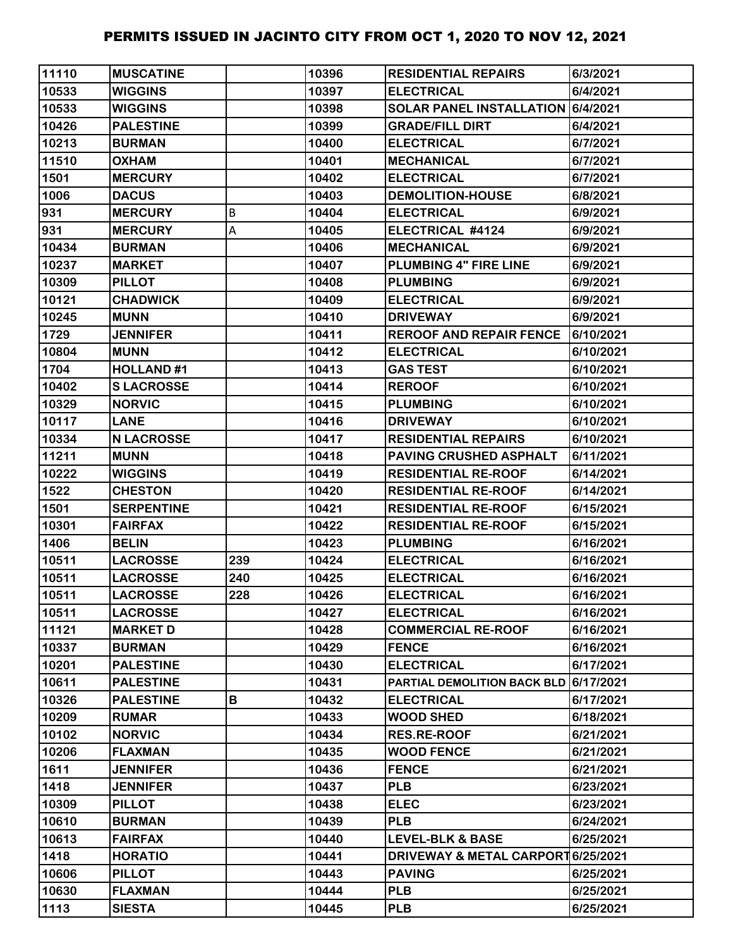| 11110 | <b>MUSCATINE</b>  |     | 10396 | <b>RESIDENTIAL REPAIRS</b>            | 6/3/2021  |
|-------|-------------------|-----|-------|---------------------------------------|-----------|
| 10533 | <b>WIGGINS</b>    |     | 10397 | <b>ELECTRICAL</b>                     | 6/4/2021  |
| 10533 | <b>WIGGINS</b>    |     | 10398 | SOLAR PANEL INSTALLATION 6/4/2021     |           |
| 10426 | <b>PALESTINE</b>  |     | 10399 | <b>GRADE/FILL DIRT</b>                | 6/4/2021  |
| 10213 | <b>BURMAN</b>     |     | 10400 | <b>ELECTRICAL</b>                     | 6/7/2021  |
| 11510 | <b>OXHAM</b>      |     | 10401 | <b>MECHANICAL</b>                     | 6/7/2021  |
| 1501  | <b>MERCURY</b>    |     | 10402 | <b>ELECTRICAL</b>                     | 6/7/2021  |
| 1006  | <b>DACUS</b>      |     | 10403 | <b>DEMOLITION-HOUSE</b>               | 6/8/2021  |
| 931   | <b>MERCURY</b>    | B   | 10404 | <b>ELECTRICAL</b>                     | 6/9/2021  |
| 931   | <b>MERCURY</b>    | А   | 10405 | ELECTRICAL #4124                      | 6/9/2021  |
| 10434 | <b>BURMAN</b>     |     | 10406 | <b>MECHANICAL</b>                     | 6/9/2021  |
| 10237 | <b>MARKET</b>     |     | 10407 | <b>PLUMBING 4" FIRE LINE</b>          | 6/9/2021  |
| 10309 | <b>PILLOT</b>     |     | 10408 | <b>PLUMBING</b>                       | 6/9/2021  |
| 10121 | <b>CHADWICK</b>   |     | 10409 | <b>ELECTRICAL</b>                     | 6/9/2021  |
| 10245 | <b>MUNN</b>       |     | 10410 | <b>DRIVEWAY</b>                       | 6/9/2021  |
| 1729  | <b>JENNIFER</b>   |     | 10411 | <b>REROOF AND REPAIR FENCE</b>        | 6/10/2021 |
| 10804 | <b>MUNN</b>       |     | 10412 | <b>ELECTRICAL</b>                     | 6/10/2021 |
| 1704  | <b>HOLLAND#1</b>  |     | 10413 | <b>GAS TEST</b>                       | 6/10/2021 |
| 10402 | <b>SLACROSSE</b>  |     | 10414 | <b>REROOF</b>                         | 6/10/2021 |
| 10329 | <b>NORVIC</b>     |     | 10415 | <b>PLUMBING</b>                       | 6/10/2021 |
| 10117 | <b>LANE</b>       |     | 10416 | <b>DRIVEWAY</b>                       | 6/10/2021 |
| 10334 | <b>N LACROSSE</b> |     | 10417 | <b>RESIDENTIAL REPAIRS</b>            | 6/10/2021 |
| 11211 | <b>MUNN</b>       |     | 10418 | PAVING CRUSHED ASPHALT                | 6/11/2021 |
| 10222 | <b>WIGGINS</b>    |     | 10419 | <b>RESIDENTIAL RE-ROOF</b>            | 6/14/2021 |
| 1522  | <b>CHESTON</b>    |     | 10420 | <b>RESIDENTIAL RE-ROOF</b>            | 6/14/2021 |
| 1501  | <b>SERPENTINE</b> |     | 10421 | <b>RESIDENTIAL RE-ROOF</b>            | 6/15/2021 |
| 10301 | <b>FAIRFAX</b>    |     | 10422 | <b>RESIDENTIAL RE-ROOF</b>            | 6/15/2021 |
| 1406  | <b>BELIN</b>      |     | 10423 | <b>PLUMBING</b>                       | 6/16/2021 |
| 10511 | <b>LACROSSE</b>   | 239 | 10424 | <b>ELECTRICAL</b>                     | 6/16/2021 |
| 10511 | <b>LACROSSE</b>   | 240 | 10425 | <b>ELECTRICAL</b>                     | 6/16/2021 |
| 10511 | <b>LACROSSE</b>   | 228 | 10426 | <b>ELECTRICAL</b>                     | 6/16/2021 |
| 10511 | <b>LACROSSE</b>   |     | 10427 | <b>ELECTRICAL</b>                     | 6/16/2021 |
| 11121 | <b>MARKET D</b>   |     | 10428 | <b>COMMERCIAL RE-ROOF</b>             | 6/16/2021 |
| 10337 | <b>BURMAN</b>     |     | 10429 | <b>FENCE</b>                          | 6/16/2021 |
| 10201 | <b>PALESTINE</b>  |     | 10430 | <b>ELECTRICAL</b>                     | 6/17/2021 |
| 10611 | <b>PALESTINE</b>  |     | 10431 | PARTIAL DEMOLITION BACK BLD 6/17/2021 |           |
| 10326 | <b>PALESTINE</b>  | В   | 10432 | <b>ELECTRICAL</b>                     | 6/17/2021 |
| 10209 | <b>RUMAR</b>      |     | 10433 | <b>WOOD SHED</b>                      | 6/18/2021 |
| 10102 | <b>NORVIC</b>     |     | 10434 | <b>RES.RE-ROOF</b>                    | 6/21/2021 |
| 10206 | <b>FLAXMAN</b>    |     | 10435 | <b>WOOD FENCE</b>                     | 6/21/2021 |
| 1611  | <b>JENNIFER</b>   |     | 10436 | <b>FENCE</b>                          | 6/21/2021 |
| 1418  | <b>JENNIFER</b>   |     | 10437 | <b>PLB</b>                            | 6/23/2021 |
| 10309 | <b>PILLOT</b>     |     | 10438 | <b>ELEC</b>                           | 6/23/2021 |
| 10610 | <b>BURMAN</b>     |     | 10439 | <b>PLB</b>                            | 6/24/2021 |
| 10613 | <b>FAIRFAX</b>    |     | 10440 | <b>LEVEL-BLK &amp; BASE</b>           | 6/25/2021 |
| 1418  | <b>HORATIO</b>    |     | 10441 | DRIVEWAY & METAL CARPORT 6/25/2021    |           |
| 10606 | <b>PILLOT</b>     |     | 10443 | <b>PAVING</b>                         | 6/25/2021 |
| 10630 | <b>FLAXMAN</b>    |     | 10444 | <b>PLB</b>                            | 6/25/2021 |
| 1113  | <b>SIESTA</b>     |     | 10445 | <b>PLB</b>                            | 6/25/2021 |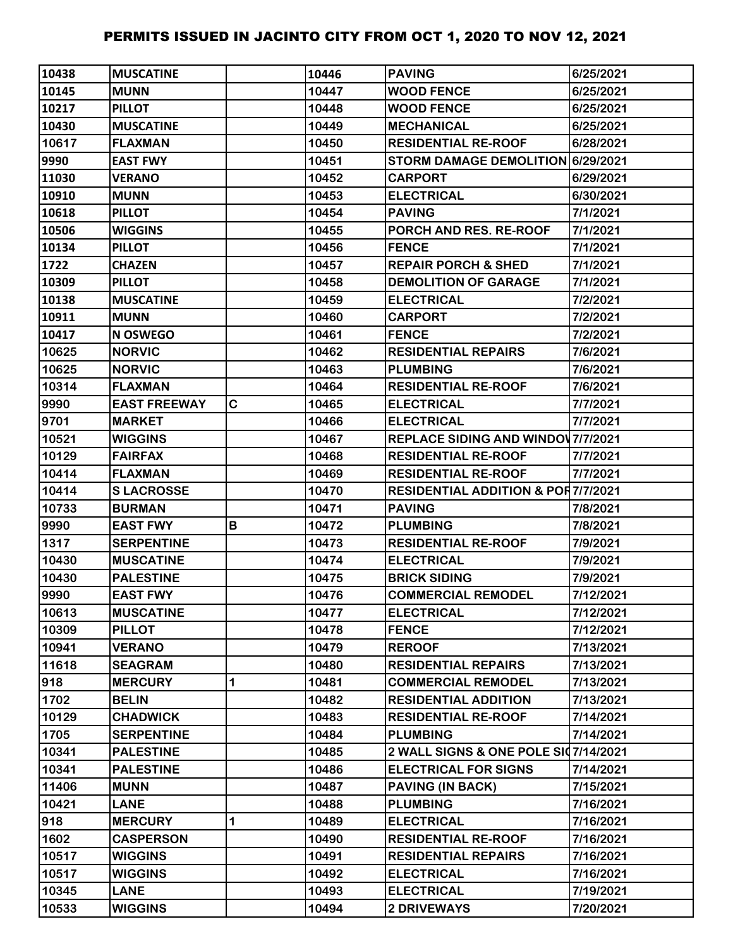| 10438 | <b>IMUSCATINE</b>   |   | 10446 | <b>PAVING</b>                                 | 6/25/2021 |
|-------|---------------------|---|-------|-----------------------------------------------|-----------|
| 10145 | <b>MUNN</b>         |   | 10447 | <b>WOOD FENCE</b>                             | 6/25/2021 |
| 10217 | <b>PILLOT</b>       |   | 10448 | <b>WOOD FENCE</b>                             | 6/25/2021 |
| 10430 | <b>MUSCATINE</b>    |   | 10449 | <b>MECHANICAL</b>                             | 6/25/2021 |
| 10617 | <b>FLAXMAN</b>      |   | 10450 | <b>RESIDENTIAL RE-ROOF</b>                    | 6/28/2021 |
| 9990  | <b>EAST FWY</b>     |   | 10451 | STORM DAMAGE DEMOLITION 6/29/2021             |           |
| 11030 | <b>VERANO</b>       |   | 10452 | <b>CARPORT</b>                                | 6/29/2021 |
| 10910 | <b>MUNN</b>         |   | 10453 | <b>ELECTRICAL</b>                             | 6/30/2021 |
| 10618 | <b>PILLOT</b>       |   | 10454 | <b>PAVING</b>                                 | 7/1/2021  |
| 10506 | <b>WIGGINS</b>      |   | 10455 | PORCH AND RES. RE-ROOF                        | 7/1/2021  |
| 10134 | <b>PILLOT</b>       |   | 10456 | <b>FENCE</b>                                  | 7/1/2021  |
| 1722  | <b>CHAZEN</b>       |   | 10457 | <b>REPAIR PORCH &amp; SHED</b>                | 7/1/2021  |
| 10309 | <b>PILLOT</b>       |   | 10458 | <b>DEMOLITION OF GARAGE</b>                   | 7/1/2021  |
| 10138 | <b>MUSCATINE</b>    |   | 10459 | <b>ELECTRICAL</b>                             | 7/2/2021  |
| 10911 | <b>MUNN</b>         |   | 10460 | <b>CARPORT</b>                                | 7/2/2021  |
| 10417 | <b>N OSWEGO</b>     |   | 10461 | <b>FENCE</b>                                  | 7/2/2021  |
| 10625 | <b>NORVIC</b>       |   | 10462 | <b>RESIDENTIAL REPAIRS</b>                    | 7/6/2021  |
| 10625 | <b>NORVIC</b>       |   | 10463 | <b>PLUMBING</b>                               | 7/6/2021  |
| 10314 | <b>FLAXMAN</b>      |   | 10464 | <b>RESIDENTIAL RE-ROOF</b>                    | 7/6/2021  |
| 9990  | <b>EAST FREEWAY</b> | C | 10465 | <b>ELECTRICAL</b>                             | 7/7/2021  |
| 9701  | <b>MARKET</b>       |   | 10466 | <b>ELECTRICAL</b>                             | 7/7/2021  |
| 10521 | <b>WIGGINS</b>      |   | 10467 | <b>REPLACE SIDING AND WINDOV 7/7/2021</b>     |           |
| 10129 | <b>FAIRFAX</b>      |   | 10468 | <b>RESIDENTIAL RE-ROOF</b>                    | 7/7/2021  |
| 10414 | <b>FLAXMAN</b>      |   | 10469 | <b>RESIDENTIAL RE-ROOF</b>                    | 7/7/2021  |
| 10414 | <b>SLACROSSE</b>    |   | 10470 | <b>RESIDENTIAL ADDITION &amp; POR7/7/2021</b> |           |
| 10733 | <b>BURMAN</b>       |   | 10471 | <b>PAVING</b>                                 | 7/8/2021  |
| 9990  | <b>EAST FWY</b>     | В | 10472 | <b>PLUMBING</b>                               | 7/8/2021  |
| 1317  | <b>SERPENTINE</b>   |   | 10473 | <b>RESIDENTIAL RE-ROOF</b>                    | 7/9/2021  |
| 10430 | <b>MUSCATINE</b>    |   | 10474 | <b>ELECTRICAL</b>                             | 7/9/2021  |
| 10430 | <b>PALESTINE</b>    |   | 10475 | <b>BRICK SIDING</b>                           | 7/9/2021  |
| 9990  | <b>EAST FWY</b>     |   | 10476 | <b>COMMERCIAL REMODEL</b>                     | 7/12/2021 |
| 10613 | <b>MUSCATINE</b>    |   | 10477 | <b>ELECTRICAL</b>                             | 7/12/2021 |
| 10309 | <b>PILLOT</b>       |   | 10478 | <b>FENCE</b>                                  | 7/12/2021 |
| 10941 | <b>VERANO</b>       |   | 10479 | <b>REROOF</b>                                 | 7/13/2021 |
| 11618 | <b>SEAGRAM</b>      |   | 10480 | <b>RESIDENTIAL REPAIRS</b>                    | 7/13/2021 |
| 918   | <b>MERCURY</b>      | 1 | 10481 | <b>COMMERCIAL REMODEL</b>                     | 7/13/2021 |
| 1702  | <b>BELIN</b>        |   | 10482 | <b>RESIDENTIAL ADDITION</b>                   | 7/13/2021 |
| 10129 | <b>CHADWICK</b>     |   | 10483 | <b>RESIDENTIAL RE-ROOF</b>                    | 7/14/2021 |
| 1705  | <b>SERPENTINE</b>   |   | 10484 | <b>PLUMBING</b>                               | 7/14/2021 |
| 10341 | <b>PALESTINE</b>    |   | 10485 | 2 WALL SIGNS & ONE POLE SI07/14/2021          |           |
| 10341 | <b>PALESTINE</b>    |   | 10486 | <b>ELECTRICAL FOR SIGNS</b>                   | 7/14/2021 |
| 11406 | <b>MUNN</b>         |   | 10487 | <b>PAVING (IN BACK)</b>                       | 7/15/2021 |
| 10421 | <b>LANE</b>         |   | 10488 | <b>PLUMBING</b>                               | 7/16/2021 |
| 918   | <b>MERCURY</b>      | 1 | 10489 | <b>ELECTRICAL</b>                             | 7/16/2021 |
| 1602  | <b>CASPERSON</b>    |   | 10490 | <b>RESIDENTIAL RE-ROOF</b>                    | 7/16/2021 |
| 10517 | <b>WIGGINS</b>      |   | 10491 | <b>RESIDENTIAL REPAIRS</b>                    | 7/16/2021 |
| 10517 | <b>WIGGINS</b>      |   | 10492 | <b>ELECTRICAL</b>                             | 7/16/2021 |
| 10345 | <b>LANE</b>         |   | 10493 | <b>ELECTRICAL</b>                             | 7/19/2021 |
| 10533 | <b>WIGGINS</b>      |   | 10494 | <b>2 DRIVEWAYS</b>                            | 7/20/2021 |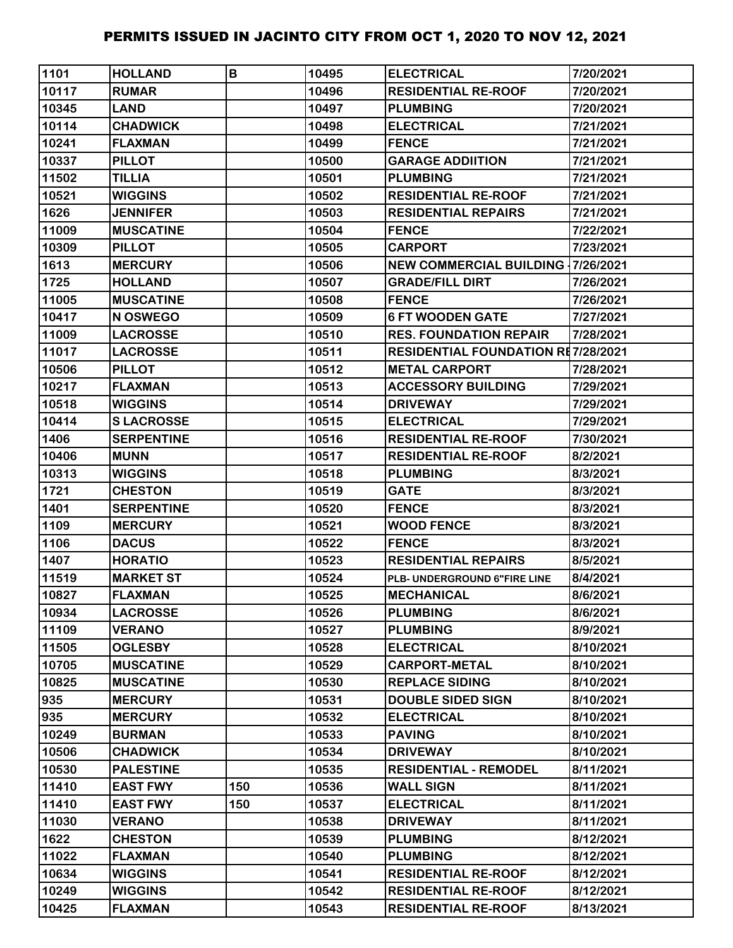| 1101  | <b>HOLLAND</b>    | B   | 10495 | <b>ELECTRICAL</b>                         | 7/20/2021 |
|-------|-------------------|-----|-------|-------------------------------------------|-----------|
| 10117 | <b>RUMAR</b>      |     | 10496 | <b>RESIDENTIAL RE-ROOF</b>                | 7/20/2021 |
| 10345 | <b>LAND</b>       |     | 10497 | <b>PLUMBING</b>                           | 7/20/2021 |
| 10114 | <b>CHADWICK</b>   |     | 10498 | <b>ELECTRICAL</b>                         | 7/21/2021 |
| 10241 | <b>FLAXMAN</b>    |     | 10499 | <b>FENCE</b>                              | 7/21/2021 |
| 10337 | <b>PILLOT</b>     |     | 10500 | <b>GARAGE ADDIITION</b>                   | 7/21/2021 |
| 11502 | <b>TILLIA</b>     |     | 10501 | <b>PLUMBING</b>                           | 7/21/2021 |
| 10521 | <b>WIGGINS</b>    |     | 10502 | <b>RESIDENTIAL RE-ROOF</b>                | 7/21/2021 |
| 1626  | <b>JENNIFER</b>   |     | 10503 | <b>RESIDENTIAL REPAIRS</b>                | 7/21/2021 |
| 11009 | <b>MUSCATINE</b>  |     | 10504 | <b>FENCE</b>                              | 7/22/2021 |
| 10309 | <b>PILLOT</b>     |     | 10505 | <b>CARPORT</b>                            | 7/23/2021 |
| 1613  | <b>MERCURY</b>    |     | 10506 | <b>NEW COMMERCIAL BUILDING 17/26/2021</b> |           |
| 1725  | <b>HOLLAND</b>    |     | 10507 | <b>GRADE/FILL DIRT</b>                    | 7/26/2021 |
| 11005 | <b>MUSCATINE</b>  |     | 10508 | <b>FENCE</b>                              | 7/26/2021 |
| 10417 | N OSWEGO          |     | 10509 | <b>6 FT WOODEN GATE</b>                   | 7/27/2021 |
| 11009 | <b>LACROSSE</b>   |     | 10510 | <b>RES. FOUNDATION REPAIR</b>             | 7/28/2021 |
| 11017 | <b>LACROSSE</b>   |     | 10511 | <b>RESIDENTIAL FOUNDATION RE7/28/2021</b> |           |
| 10506 | <b>PILLOT</b>     |     | 10512 | <b>METAL CARPORT</b>                      | 7/28/2021 |
| 10217 | <b>FLAXMAN</b>    |     | 10513 | <b>ACCESSORY BUILDING</b>                 | 7/29/2021 |
| 10518 | <b>WIGGINS</b>    |     | 10514 | <b>DRIVEWAY</b>                           | 7/29/2021 |
| 10414 | <b>SLACROSSE</b>  |     | 10515 | <b>ELECTRICAL</b>                         | 7/29/2021 |
| 1406  | <b>SERPENTINE</b> |     | 10516 | <b>RESIDENTIAL RE-ROOF</b>                | 7/30/2021 |
| 10406 | <b>MUNN</b>       |     | 10517 | <b>RESIDENTIAL RE-ROOF</b>                | 8/2/2021  |
| 10313 | <b>WIGGINS</b>    |     | 10518 | <b>PLUMBING</b>                           | 8/3/2021  |
| 1721  | <b>CHESTON</b>    |     | 10519 | <b>GATE</b>                               | 8/3/2021  |
| 1401  | <b>SERPENTINE</b> |     | 10520 | <b>FENCE</b>                              | 8/3/2021  |
| 1109  | <b>MERCURY</b>    |     | 10521 | <b>WOOD FENCE</b>                         | 8/3/2021  |
| 1106  | <b>DACUS</b>      |     | 10522 | <b>FENCE</b>                              | 8/3/2021  |
| 1407  | <b>HORATIO</b>    |     | 10523 | <b>RESIDENTIAL REPAIRS</b>                | 8/5/2021  |
| 11519 | <b>MARKET ST</b>  |     | 10524 | PLB- UNDERGROUND 6"FIRE LINE              | 8/4/2021  |
| 10827 | <b>FLAXMAN</b>    |     | 10525 | <b>IMECHANICAL</b>                        | 8/6/2021  |
| 10934 | <b>LACROSSE</b>   |     | 10526 | <b>PLUMBING</b>                           | 8/6/2021  |
| 11109 | <b>VERANO</b>     |     | 10527 | <b>PLUMBING</b>                           | 8/9/2021  |
| 11505 | <b>OGLESBY</b>    |     | 10528 | <b>ELECTRICAL</b>                         | 8/10/2021 |
| 10705 | <b>MUSCATINE</b>  |     | 10529 | <b>CARPORT-METAL</b>                      | 8/10/2021 |
| 10825 | <b>MUSCATINE</b>  |     | 10530 | <b>REPLACE SIDING</b>                     | 8/10/2021 |
| 935   | <b>MERCURY</b>    |     | 10531 | <b>DOUBLE SIDED SIGN</b>                  | 8/10/2021 |
| 935   | <b>MERCURY</b>    |     | 10532 | <b>ELECTRICAL</b>                         | 8/10/2021 |
| 10249 | <b>BURMAN</b>     |     | 10533 | <b>PAVING</b>                             | 8/10/2021 |
| 10506 | <b>CHADWICK</b>   |     | 10534 | <b>DRIVEWAY</b>                           | 8/10/2021 |
| 10530 | <b>PALESTINE</b>  |     | 10535 | <b>RESIDENTIAL - REMODEL</b>              | 8/11/2021 |
| 11410 | <b>EAST FWY</b>   | 150 | 10536 | <b>WALL SIGN</b>                          | 8/11/2021 |
| 11410 | <b>EAST FWY</b>   | 150 | 10537 | <b>ELECTRICAL</b>                         | 8/11/2021 |
| 11030 | <b>VERANO</b>     |     | 10538 | <b>DRIVEWAY</b>                           | 8/11/2021 |
| 1622  | <b>CHESTON</b>    |     | 10539 | <b>PLUMBING</b>                           | 8/12/2021 |
| 11022 | <b>FLAXMAN</b>    |     | 10540 | <b>PLUMBING</b>                           | 8/12/2021 |
| 10634 | <b>WIGGINS</b>    |     | 10541 | <b>RESIDENTIAL RE-ROOF</b>                | 8/12/2021 |
| 10249 | <b>WIGGINS</b>    |     | 10542 | <b>RESIDENTIAL RE-ROOF</b>                | 8/12/2021 |
| 10425 | <b>FLAXMAN</b>    |     | 10543 | <b>RESIDENTIAL RE-ROOF</b>                | 8/13/2021 |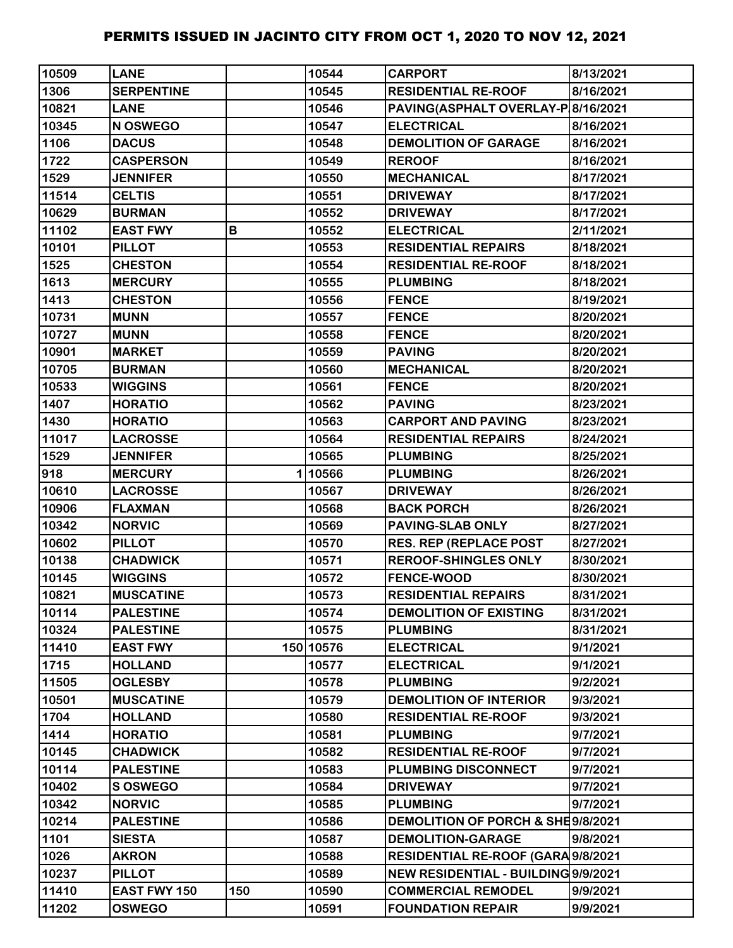| 10509 | <b>LANE</b>       |     | 10544     | <b>CARPORT</b>                      | 8/13/2021 |
|-------|-------------------|-----|-----------|-------------------------------------|-----------|
| 1306  | <b>SERPENTINE</b> |     | 10545     | <b>RESIDENTIAL RE-ROOF</b>          | 8/16/2021 |
| 10821 | <b>LANE</b>       |     | 10546     | PAVING(ASPHALT OVERLAY-P 8/16/2021  |           |
| 10345 | N OSWEGO          |     | 10547     | <b>ELECTRICAL</b>                   | 8/16/2021 |
| 1106  | <b>DACUS</b>      |     | 10548     | <b>DEMOLITION OF GARAGE</b>         | 8/16/2021 |
| 1722  | <b>CASPERSON</b>  |     | 10549     | <b>REROOF</b>                       | 8/16/2021 |
| 1529  | <b>JENNIFER</b>   |     | 10550     | <b>MECHANICAL</b>                   | 8/17/2021 |
| 11514 | <b>CELTIS</b>     |     | 10551     | <b>DRIVEWAY</b>                     | 8/17/2021 |
| 10629 | <b>BURMAN</b>     |     | 10552     | <b>DRIVEWAY</b>                     | 8/17/2021 |
| 11102 | <b>EAST FWY</b>   | В   | 10552     | <b>ELECTRICAL</b>                   | 2/11/2021 |
| 10101 | <b>PILLOT</b>     |     | 10553     | <b>RESIDENTIAL REPAIRS</b>          | 8/18/2021 |
| 1525  | <b>CHESTON</b>    |     | 10554     | <b>RESIDENTIAL RE-ROOF</b>          | 8/18/2021 |
| 1613  | <b>MERCURY</b>    |     | 10555     | <b>PLUMBING</b>                     | 8/18/2021 |
| 1413  | <b>CHESTON</b>    |     | 10556     | <b>FENCE</b>                        | 8/19/2021 |
| 10731 | <b>MUNN</b>       |     | 10557     | <b>FENCE</b>                        | 8/20/2021 |
| 10727 | <b>MUNN</b>       |     | 10558     | <b>FENCE</b>                        | 8/20/2021 |
| 10901 | <b>MARKET</b>     |     | 10559     | <b>PAVING</b>                       | 8/20/2021 |
| 10705 | <b>BURMAN</b>     |     | 10560     | <b>MECHANICAL</b>                   | 8/20/2021 |
| 10533 | <b>WIGGINS</b>    |     | 10561     | <b>FENCE</b>                        | 8/20/2021 |
| 1407  | <b>HORATIO</b>    |     | 10562     | <b>PAVING</b>                       | 8/23/2021 |
| 1430  | <b>HORATIO</b>    |     | 10563     | <b>CARPORT AND PAVING</b>           | 8/23/2021 |
| 11017 | <b>LACROSSE</b>   |     | 10564     | <b>RESIDENTIAL REPAIRS</b>          | 8/24/2021 |
| 1529  | <b>JENNIFER</b>   |     | 10565     | <b>PLUMBING</b>                     | 8/25/2021 |
| 918   | <b>MERCURY</b>    |     | 110566    | <b>PLUMBING</b>                     | 8/26/2021 |
| 10610 | <b>LACROSSE</b>   |     | 10567     | <b>DRIVEWAY</b>                     | 8/26/2021 |
| 10906 | <b>FLAXMAN</b>    |     | 10568     | <b>BACK PORCH</b>                   | 8/26/2021 |
| 10342 | <b>NORVIC</b>     |     | 10569     | <b>PAVING-SLAB ONLY</b>             | 8/27/2021 |
| 10602 | <b>PILLOT</b>     |     | 10570     | <b>RES. REP (REPLACE POST</b>       | 8/27/2021 |
| 10138 | <b>CHADWICK</b>   |     | 10571     | <b>REROOF-SHINGLES ONLY</b>         | 8/30/2021 |
| 10145 | <b>WIGGINS</b>    |     | 10572     | <b>FENCE-WOOD</b>                   | 8/30/2021 |
| 10821 | <b>MUSCATINE</b>  |     | 10573     | <b>RESIDENTIAL REPAIRS</b>          | 8/31/2021 |
| 10114 | <b>PALESTINE</b>  |     | 10574     | <b>DEMOLITION OF EXISTING</b>       | 8/31/2021 |
| 10324 | <b>PALESTINE</b>  |     | 10575     | <b>PLUMBING</b>                     | 8/31/2021 |
| 11410 | <b>EAST FWY</b>   |     | 150 10576 | <b>ELECTRICAL</b>                   | 9/1/2021  |
| 1715  | <b>HOLLAND</b>    |     | 10577     | <b>ELECTRICAL</b>                   | 9/1/2021  |
| 11505 | <b>OGLESBY</b>    |     | 10578     | <b>PLUMBING</b>                     | 9/2/2021  |
| 10501 | <b>MUSCATINE</b>  |     | 10579     | <b>DEMOLITION OF INTERIOR</b>       | 9/3/2021  |
| 1704  | <b>HOLLAND</b>    |     | 10580     | <b>RESIDENTIAL RE-ROOF</b>          | 9/3/2021  |
| 1414  | <b>HORATIO</b>    |     | 10581     | <b>PLUMBING</b>                     | 9/7/2021  |
| 10145 | <b>CHADWICK</b>   |     | 10582     | <b>RESIDENTIAL RE-ROOF</b>          | 9/7/2021  |
| 10114 | <b>PALESTINE</b>  |     | 10583     | PLUMBING DISCONNECT                 | 9/7/2021  |
| 10402 | <b>SOSWEGO</b>    |     | 10584     | <b>DRIVEWAY</b>                     | 9/7/2021  |
| 10342 | <b>NORVIC</b>     |     | 10585     | <b>PLUMBING</b>                     | 9/7/2021  |
| 10214 | <b>PALESTINE</b>  |     | 10586     | DEMOLITION OF PORCH & SHE9/8/2021   |           |
| 1101  | <b>SIESTA</b>     |     | 10587     | <b>DEMOLITION-GARAGE</b>            | 9/8/2021  |
| 1026  | <b>AKRON</b>      |     | 10588     | RESIDENTIAL RE-ROOF (GARA 9/8/2021  |           |
| 10237 | <b>PILLOT</b>     |     | 10589     | NEW RESIDENTIAL - BUILDING 9/9/2021 |           |
| 11410 | EAST FWY 150      | 150 | 10590     | <b>COMMERCIAL REMODEL</b>           | 9/9/2021  |
| 11202 | <b>OSWEGO</b>     |     | 10591     | <b>FOUNDATION REPAIR</b>            | 9/9/2021  |
|       |                   |     |           |                                     |           |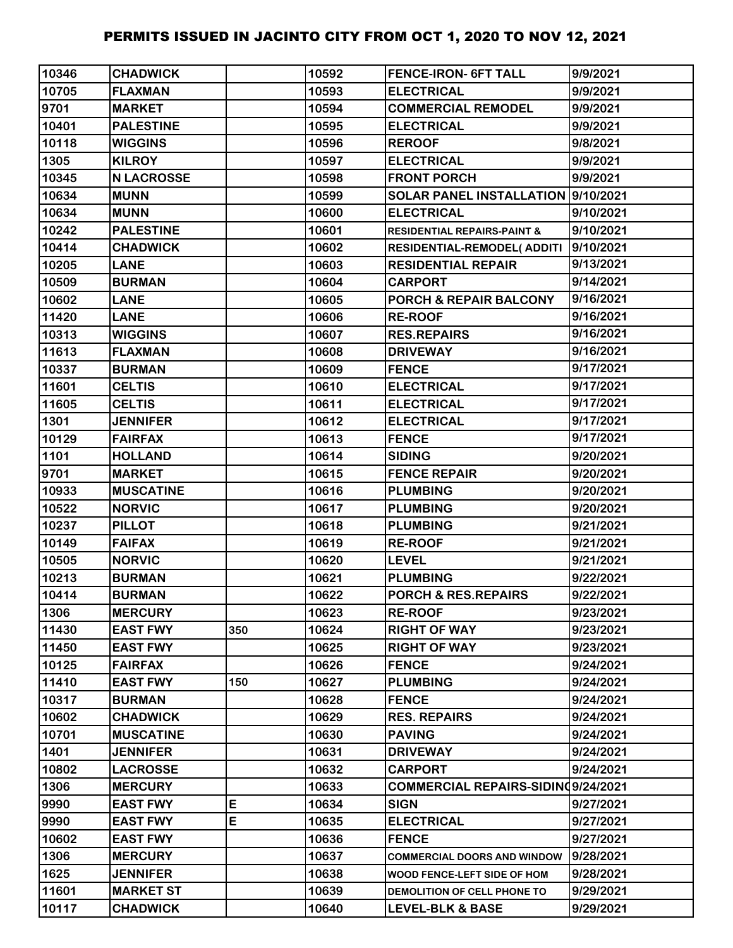| 10346 | <b>CHADWICK</b>   |     | 10592 | <b>FENCE-IRON- 6FT TALL</b>            | 9/9/2021  |
|-------|-------------------|-----|-------|----------------------------------------|-----------|
| 10705 | <b>FLAXMAN</b>    |     | 10593 | <b>ELECTRICAL</b>                      | 9/9/2021  |
| 9701  | <b>MARKET</b>     |     | 10594 | <b>COMMERCIAL REMODEL</b>              | 9/9/2021  |
| 10401 | <b>PALESTINE</b>  |     | 10595 | <b>ELECTRICAL</b>                      | 9/9/2021  |
| 10118 | <b>WIGGINS</b>    |     | 10596 | <b>REROOF</b>                          | 9/8/2021  |
| 1305  | <b>KILROY</b>     |     | 10597 | <b>ELECTRICAL</b>                      | 9/9/2021  |
| 10345 | <b>N LACROSSE</b> |     | 10598 | <b>FRONT PORCH</b>                     | 9/9/2021  |
| 10634 | <b>MUNN</b>       |     | 10599 | SOLAR PANEL INSTALLATION 9/10/2021     |           |
| 10634 | <b>MUNN</b>       |     | 10600 | <b>ELECTRICAL</b>                      | 9/10/2021 |
| 10242 | <b>PALESTINE</b>  |     | 10601 | <b>RESIDENTIAL REPAIRS-PAINT &amp;</b> | 9/10/2021 |
| 10414 | <b>CHADWICK</b>   |     | 10602 | <b>RESIDENTIAL-REMODEL( ADDITI</b>     | 9/10/2021 |
| 10205 | <b>LANE</b>       |     | 10603 | <b>RESIDENTIAL REPAIR</b>              | 9/13/2021 |
| 10509 | <b>BURMAN</b>     |     | 10604 | <b>CARPORT</b>                         | 9/14/2021 |
| 10602 | <b>LANE</b>       |     | 10605 | PORCH & REPAIR BALCONY                 | 9/16/2021 |
| 11420 | <b>LANE</b>       |     | 10606 | <b>RE-ROOF</b>                         | 9/16/2021 |
| 10313 | <b>WIGGINS</b>    |     | 10607 | <b>RES.REPAIRS</b>                     | 9/16/2021 |
| 11613 | <b>FLAXMAN</b>    |     | 10608 | <b>DRIVEWAY</b>                        | 9/16/2021 |
| 10337 | <b>BURMAN</b>     |     | 10609 | <b>FENCE</b>                           | 9/17/2021 |
| 11601 | <b>CELTIS</b>     |     | 10610 | <b>ELECTRICAL</b>                      | 9/17/2021 |
| 11605 | <b>CELTIS</b>     |     | 10611 | <b>ELECTRICAL</b>                      | 9/17/2021 |
| 1301  | <b>JENNIFER</b>   |     | 10612 | <b>ELECTRICAL</b>                      | 9/17/2021 |
| 10129 | <b>FAIRFAX</b>    |     | 10613 | <b>FENCE</b>                           | 9/17/2021 |
| 1101  | <b>HOLLAND</b>    |     | 10614 | <b>SIDING</b>                          | 9/20/2021 |
| 9701  | <b>MARKET</b>     |     | 10615 | <b>FENCE REPAIR</b>                    | 9/20/2021 |
| 10933 | <b>MUSCATINE</b>  |     | 10616 | <b>PLUMBING</b>                        | 9/20/2021 |
| 10522 | <b>NORVIC</b>     |     | 10617 | <b>PLUMBING</b>                        | 9/20/2021 |
| 10237 | <b>PILLOT</b>     |     | 10618 | <b>PLUMBING</b>                        | 9/21/2021 |
| 10149 | <b>FAIFAX</b>     |     | 10619 | <b>RE-ROOF</b>                         | 9/21/2021 |
| 10505 | <b>NORVIC</b>     |     | 10620 | <b>LEVEL</b>                           | 9/21/2021 |
| 10213 | <b>BURMAN</b>     |     | 10621 | <b>PLUMBING</b>                        | 9/22/2021 |
| 10414 | <b>BURMAN</b>     |     | 10622 | PORCH & RES.REPAIRS                    | 9/22/2021 |
| 1306  | <b>MERCURY</b>    |     | 10623 | <b>RE-ROOF</b>                         | 9/23/2021 |
| 11430 | <b>EAST FWY</b>   | 350 | 10624 | <b>RIGHT OF WAY</b>                    | 9/23/2021 |
| 11450 | <b>EAST FWY</b>   |     | 10625 | <b>RIGHT OF WAY</b>                    | 9/23/2021 |
| 10125 | <b>FAIRFAX</b>    |     | 10626 | <b>FENCE</b>                           | 9/24/2021 |
| 11410 | <b>EAST FWY</b>   | 150 | 10627 | <b>PLUMBING</b>                        | 9/24/2021 |
| 10317 | <b>BURMAN</b>     |     | 10628 | <b>FENCE</b>                           | 9/24/2021 |
| 10602 | <b>CHADWICK</b>   |     | 10629 | <b>RES. REPAIRS</b>                    | 9/24/2021 |
| 10701 | <b>MUSCATINE</b>  |     | 10630 | <b>PAVING</b>                          | 9/24/2021 |
| 1401  | <b>JENNIFER</b>   |     | 10631 | <b>DRIVEWAY</b>                        | 9/24/2021 |
| 10802 | <b>LACROSSE</b>   |     | 10632 | CARPORT                                | 9/24/2021 |
| 1306  | <b>MERCURY</b>    |     | 10633 | COMMERCIAL REPAIRS-SIDINQ9/24/2021     |           |
| 9990  | <b>EAST FWY</b>   | E   | 10634 | <b>SIGN</b>                            | 9/27/2021 |
| 9990  | <b>EAST FWY</b>   | E   | 10635 | <b>ELECTRICAL</b>                      | 9/27/2021 |
| 10602 | <b>EAST FWY</b>   |     | 10636 | <b>FENCE</b>                           | 9/27/2021 |
| 1306  | <b>MERCURY</b>    |     | 10637 | <b>COMMERCIAL DOORS AND WINDOW</b>     | 9/28/2021 |
| 1625  | <b>JENNIFER</b>   |     | 10638 | WOOD FENCE-LEFT SIDE OF HOM            | 9/28/2021 |
| 11601 | <b>MARKET ST</b>  |     | 10639 | DEMOLITION OF CELL PHONE TO            | 9/29/2021 |
| 10117 | <b>CHADWICK</b>   |     | 10640 | <b>LEVEL-BLK &amp; BASE</b>            | 9/29/2021 |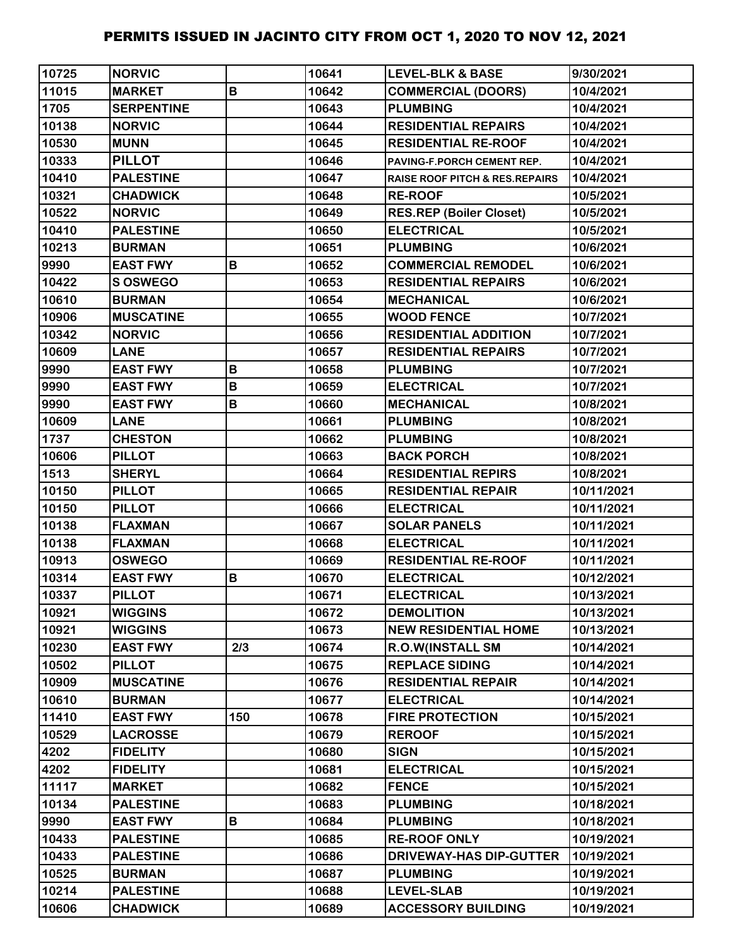| 10725 | <b>NORVIC</b>     |             | 10641 | <b>LEVEL-BLK &amp; BASE</b>               | 9/30/2021  |
|-------|-------------------|-------------|-------|-------------------------------------------|------------|
| 11015 | <b>MARKET</b>     | B           | 10642 | <b>COMMERCIAL (DOORS)</b>                 | 10/4/2021  |
| 1705  | <b>SERPENTINE</b> |             | 10643 | <b>PLUMBING</b>                           | 10/4/2021  |
| 10138 | <b>NORVIC</b>     |             | 10644 | <b>RESIDENTIAL REPAIRS</b>                | 10/4/2021  |
| 10530 | <b>MUNN</b>       |             | 10645 | <b>RESIDENTIAL RE-ROOF</b>                | 10/4/2021  |
| 10333 | <b>PILLOT</b>     |             | 10646 | PAVING-F.PORCH CEMENT REP.                | 10/4/2021  |
| 10410 | <b>PALESTINE</b>  |             | 10647 | <b>RAISE ROOF PITCH &amp; RES.REPAIRS</b> | 10/4/2021  |
| 10321 | <b>CHADWICK</b>   |             | 10648 | <b>RE-ROOF</b>                            | 10/5/2021  |
| 10522 | <b>NORVIC</b>     |             | 10649 | <b>RES.REP (Boiler Closet)</b>            | 10/5/2021  |
| 10410 | <b>PALESTINE</b>  |             | 10650 | <b>ELECTRICAL</b>                         | 10/5/2021  |
| 10213 | <b>BURMAN</b>     |             | 10651 | <b>PLUMBING</b>                           | 10/6/2021  |
| 9990  | <b>EAST FWY</b>   | B           | 10652 | <b>COMMERCIAL REMODEL</b>                 | 10/6/2021  |
| 10422 | <b>S OSWEGO</b>   |             | 10653 | <b>RESIDENTIAL REPAIRS</b>                | 10/6/2021  |
| 10610 | <b>BURMAN</b>     |             | 10654 | <b>MECHANICAL</b>                         | 10/6/2021  |
| 10906 | <b>MUSCATINE</b>  |             | 10655 | <b>WOOD FENCE</b>                         | 10/7/2021  |
| 10342 | <b>NORVIC</b>     |             | 10656 | <b>RESIDENTIAL ADDITION</b>               | 10/7/2021  |
| 10609 | <b>LANE</b>       |             | 10657 | <b>RESIDENTIAL REPAIRS</b>                | 10/7/2021  |
| 9990  | <b>EAST FWY</b>   | B           | 10658 | <b>PLUMBING</b>                           | 10/7/2021  |
| 9990  | <b>EAST FWY</b>   | B           | 10659 | <b>ELECTRICAL</b>                         | 10/7/2021  |
| 9990  | <b>EAST FWY</b>   | B           | 10660 | <b>MECHANICAL</b>                         | 10/8/2021  |
| 10609 | <b>LANE</b>       |             | 10661 | <b>PLUMBING</b>                           | 10/8/2021  |
| 1737  | <b>CHESTON</b>    |             | 10662 | <b>PLUMBING</b>                           | 10/8/2021  |
| 10606 | <b>PILLOT</b>     |             | 10663 | <b>BACK PORCH</b>                         | 10/8/2021  |
| 1513  | <b>SHERYL</b>     |             | 10664 | <b>RESIDENTIAL REPIRS</b>                 | 10/8/2021  |
| 10150 | <b>PILLOT</b>     |             | 10665 | <b>RESIDENTIAL REPAIR</b>                 | 10/11/2021 |
| 10150 | <b>PILLOT</b>     |             | 10666 | <b>ELECTRICAL</b>                         | 10/11/2021 |
| 10138 | <b>FLAXMAN</b>    |             | 10667 | <b>SOLAR PANELS</b>                       | 10/11/2021 |
| 10138 | <b>FLAXMAN</b>    |             | 10668 | <b>ELECTRICAL</b>                         | 10/11/2021 |
| 10913 | <b>OSWEGO</b>     |             | 10669 | <b>RESIDENTIAL RE-ROOF</b>                | 10/11/2021 |
| 10314 | <b>EAST FWY</b>   | $\mathbf B$ | 10670 | <b>ELECTRICAL</b>                         | 10/12/2021 |
| 10337 | <b>PILLOT</b>     |             | 10671 | <b>ELECTRICAL</b>                         | 10/13/2021 |
| 10921 | <b>WIGGINS</b>    |             | 10672 | <b>DEMOLITION</b>                         | 10/13/2021 |
| 10921 | <b>WIGGINS</b>    |             | 10673 | <b>NEW RESIDENTIAL HOME</b>               | 10/13/2021 |
| 10230 | <b>EAST FWY</b>   | 2/3         | 10674 | <b>R.O.W(INSTALL SM</b>                   | 10/14/2021 |
| 10502 | <b>PILLOT</b>     |             | 10675 | <b>REPLACE SIDING</b>                     | 10/14/2021 |
| 10909 | <b>MUSCATINE</b>  |             | 10676 | <b>RESIDENTIAL REPAIR</b>                 | 10/14/2021 |
| 10610 | <b>BURMAN</b>     |             | 10677 | <b>ELECTRICAL</b>                         | 10/14/2021 |
| 11410 | <b>EAST FWY</b>   | 150         | 10678 | <b>FIRE PROTECTION</b>                    | 10/15/2021 |
| 10529 | <b>LACROSSE</b>   |             | 10679 | <b>REROOF</b>                             | 10/15/2021 |
| 4202  | <b>FIDELITY</b>   |             | 10680 | <b>SIGN</b>                               | 10/15/2021 |
| 4202  | <b>FIDELITY</b>   |             | 10681 | <b>ELECTRICAL</b>                         | 10/15/2021 |
| 11117 | <b>MARKET</b>     |             | 10682 | <b>FENCE</b>                              | 10/15/2021 |
| 10134 | <b>PALESTINE</b>  |             | 10683 | <b>PLUMBING</b>                           | 10/18/2021 |
| 9990  | <b>EAST FWY</b>   | B           | 10684 | <b>PLUMBING</b>                           | 10/18/2021 |
| 10433 | <b>PALESTINE</b>  |             | 10685 | <b>RE-ROOF ONLY</b>                       | 10/19/2021 |
| 10433 | <b>PALESTINE</b>  |             | 10686 | <b>DRIVEWAY-HAS DIP-GUTTER</b>            | 10/19/2021 |
| 10525 | <b>BURMAN</b>     |             | 10687 | <b>PLUMBING</b>                           | 10/19/2021 |
| 10214 | <b>PALESTINE</b>  |             | 10688 | <b>LEVEL-SLAB</b>                         | 10/19/2021 |
| 10606 | <b>CHADWICK</b>   |             | 10689 | <b>ACCESSORY BUILDING</b>                 | 10/19/2021 |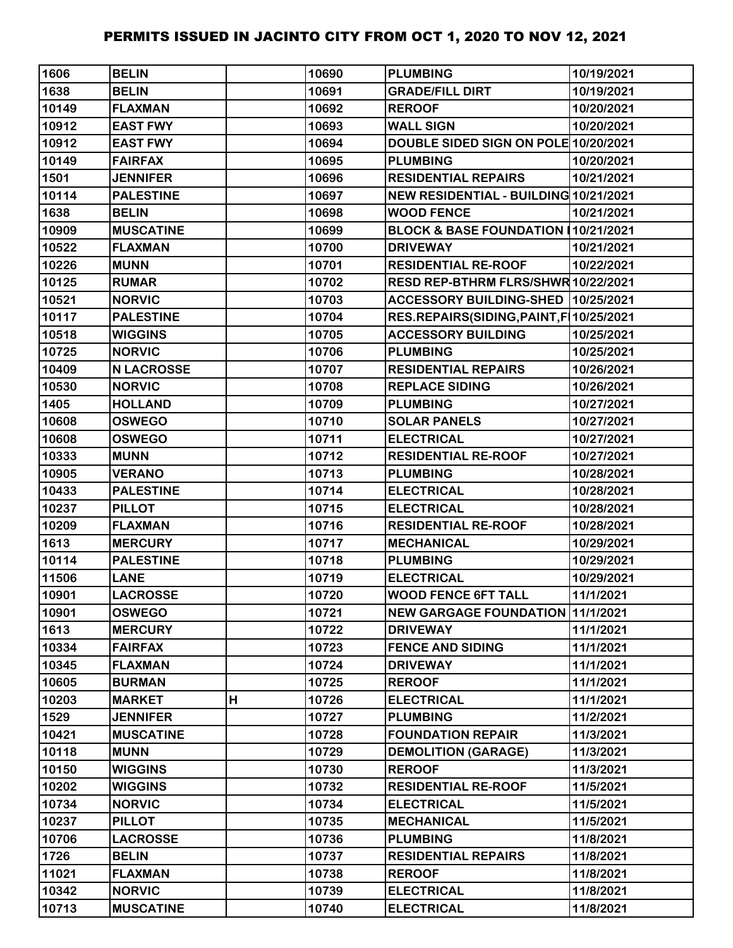| 1606  | <b>BELIN</b>      |   | 10690 | <b>PLUMBING</b>                           | 10/19/2021 |
|-------|-------------------|---|-------|-------------------------------------------|------------|
| 1638  | <b>BELIN</b>      |   | 10691 | <b>GRADE/FILL DIRT</b>                    | 10/19/2021 |
| 10149 | <b>FLAXMAN</b>    |   | 10692 | <b>REROOF</b>                             | 10/20/2021 |
| 10912 | <b>EAST FWY</b>   |   | 10693 | <b>WALL SIGN</b>                          | 10/20/2021 |
| 10912 | <b>EAST FWY</b>   |   | 10694 | DOUBLE SIDED SIGN ON POLE 10/20/2021      |            |
| 10149 | <b>FAIRFAX</b>    |   | 10695 | <b>PLUMBING</b>                           | 10/20/2021 |
| 1501  | <b>JENNIFER</b>   |   | 10696 | <b>RESIDENTIAL REPAIRS</b>                | 10/21/2021 |
| 10114 | <b>PALESTINE</b>  |   | 10697 | NEW RESIDENTIAL - BUILDING 10/21/2021     |            |
| 1638  | <b>BELIN</b>      |   | 10698 | <b>WOOD FENCE</b>                         | 10/21/2021 |
| 10909 | <b>MUSCATINE</b>  |   | 10699 | BLOCK & BASE FOUNDATION 10/21/2021        |            |
| 10522 | <b>FLAXMAN</b>    |   | 10700 | <b>DRIVEWAY</b>                           | 10/21/2021 |
| 10226 | <b>MUNN</b>       |   | 10701 | <b>RESIDENTIAL RE-ROOF</b>                | 10/22/2021 |
| 10125 | <b>RUMAR</b>      |   | 10702 | RESD REP-BTHRM FLRS/SHWR 10/22/2021       |            |
| 10521 | <b>NORVIC</b>     |   | 10703 | ACCESSORY BUILDING-SHED 10/25/2021        |            |
| 10117 | <b>PALESTINE</b>  |   | 10704 | RES.REPAIRS(SIDING, PAINT, F   10/25/2021 |            |
| 10518 | <b>WIGGINS</b>    |   | 10705 | <b>ACCESSORY BUILDING</b>                 | 10/25/2021 |
| 10725 | <b>NORVIC</b>     |   | 10706 | <b>PLUMBING</b>                           | 10/25/2021 |
| 10409 | <b>N LACROSSE</b> |   | 10707 | <b>RESIDENTIAL REPAIRS</b>                | 10/26/2021 |
| 10530 | <b>NORVIC</b>     |   | 10708 | <b>REPLACE SIDING</b>                     | 10/26/2021 |
| 1405  | <b>HOLLAND</b>    |   | 10709 | <b>PLUMBING</b>                           | 10/27/2021 |
| 10608 | <b>OSWEGO</b>     |   | 10710 | <b>SOLAR PANELS</b>                       | 10/27/2021 |
| 10608 | <b>OSWEGO</b>     |   | 10711 | <b>ELECTRICAL</b>                         | 10/27/2021 |
| 10333 | <b>MUNN</b>       |   | 10712 | <b>RESIDENTIAL RE-ROOF</b>                | 10/27/2021 |
| 10905 | <b>VERANO</b>     |   | 10713 | <b>PLUMBING</b>                           | 10/28/2021 |
| 10433 | <b>PALESTINE</b>  |   | 10714 | <b>ELECTRICAL</b>                         | 10/28/2021 |
| 10237 | <b>PILLOT</b>     |   | 10715 | <b>ELECTRICAL</b>                         | 10/28/2021 |
| 10209 | <b>FLAXMAN</b>    |   | 10716 | <b>RESIDENTIAL RE-ROOF</b>                | 10/28/2021 |
| 1613  | <b>MERCURY</b>    |   | 10717 | <b>MECHANICAL</b>                         | 10/29/2021 |
| 10114 | <b>PALESTINE</b>  |   | 10718 | <b>PLUMBING</b>                           | 10/29/2021 |
| 11506 | <b>LANE</b>       |   | 10719 | <b>ELECTRICAL</b>                         | 10/29/2021 |
| 10901 | <b>LACROSSE</b>   |   | 10720 | <b>WOOD FENCE 6FT TALL</b>                | 11/1/2021  |
| 10901 | <b>OSWEGO</b>     |   | 10721 | <b>NEW GARGAGE FOUNDATION 11/1/2021</b>   |            |
| 1613  | <b>MERCURY</b>    |   | 10722 | <b>DRIVEWAY</b>                           | 11/1/2021  |
| 10334 | <b>FAIRFAX</b>    |   | 10723 | <b>FENCE AND SIDING</b>                   | 11/1/2021  |
| 10345 | <b>FLAXMAN</b>    |   | 10724 | <b>DRIVEWAY</b>                           | 11/1/2021  |
| 10605 | <b>BURMAN</b>     |   | 10725 | <b>REROOF</b>                             | 11/1/2021  |
| 10203 | <b>MARKET</b>     | Н | 10726 | <b>ELECTRICAL</b>                         | 11/1/2021  |
| 1529  | <b>JENNIFER</b>   |   | 10727 | <b>PLUMBING</b>                           | 11/2/2021  |
| 10421 | <b>MUSCATINE</b>  |   | 10728 | <b>FOUNDATION REPAIR</b>                  | 11/3/2021  |
| 10118 | <b>MUNN</b>       |   | 10729 | <b>DEMOLITION (GARAGE)</b>                | 11/3/2021  |
| 10150 | <b>WIGGINS</b>    |   | 10730 | <b>REROOF</b>                             | 11/3/2021  |
| 10202 | <b>WIGGINS</b>    |   | 10732 | <b>RESIDENTIAL RE-ROOF</b>                | 11/5/2021  |
| 10734 | <b>NORVIC</b>     |   | 10734 | <b>ELECTRICAL</b>                         | 11/5/2021  |
| 10237 | <b>PILLOT</b>     |   | 10735 | <b>MECHANICAL</b>                         | 11/5/2021  |
| 10706 | <b>LACROSSE</b>   |   | 10736 | <b>PLUMBING</b>                           | 11/8/2021  |
| 1726  | <b>BELIN</b>      |   | 10737 | <b>RESIDENTIAL REPAIRS</b>                | 11/8/2021  |
| 11021 | <b>FLAXMAN</b>    |   | 10738 | <b>REROOF</b>                             | 11/8/2021  |
| 10342 | <b>NORVIC</b>     |   | 10739 | <b>ELECTRICAL</b>                         | 11/8/2021  |
| 10713 | <b>MUSCATINE</b>  |   | 10740 | <b>ELECTRICAL</b>                         | 11/8/2021  |